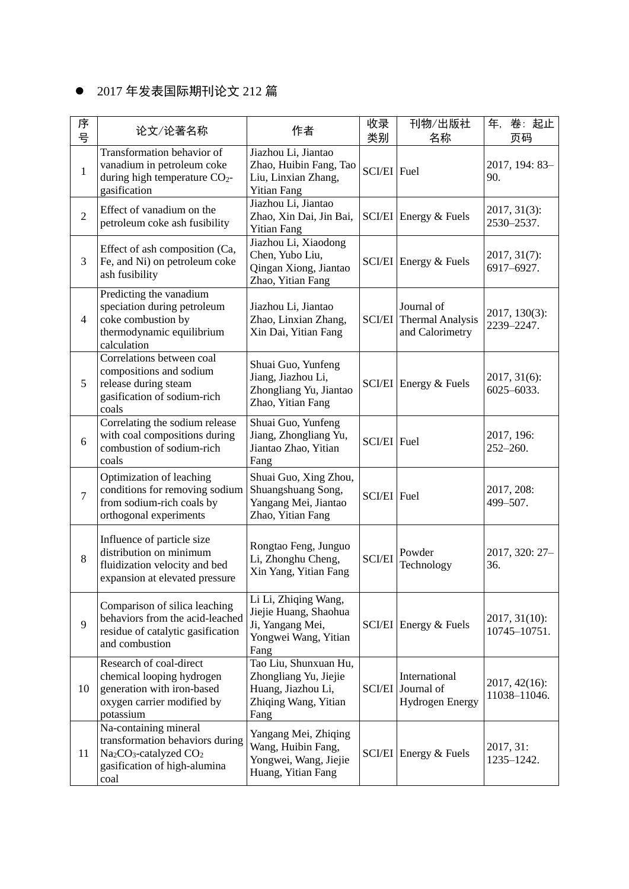## 2017 年发表国际期刊论文 212 篇

| 序<br>뮥         | 论文/论著名称                                                                                                                                                        | 作者                                                                                                   | 收录<br>类别      | 刊物/出版社<br>名称                                                    | 卷:起止<br>年,<br>页码                   |
|----------------|----------------------------------------------------------------------------------------------------------------------------------------------------------------|------------------------------------------------------------------------------------------------------|---------------|-----------------------------------------------------------------|------------------------------------|
| $\mathbf{1}$   | Transformation behavior of<br>vanadium in petroleum coke<br>during high temperature $CO2$ -<br>gasification                                                    | Jiazhou Li, Jiantao<br>Zhao, Huibin Fang, Tao<br>Liu, Linxian Zhang,<br><b>Yitian Fang</b>           | SCI/EI Fuel   |                                                                 | 2017, 194: 83-<br>90.              |
| $\overline{2}$ | Effect of vanadium on the<br>petroleum coke ash fusibility                                                                                                     | Jiazhou Li, Jiantao<br>Zhao, Xin Dai, Jin Bai,<br><b>Yitian Fang</b>                                 |               | SCI/EI Energy & Fuels                                           | $2017, 31(3)$ :<br>2530-2537.      |
| 3              | Effect of ash composition (Ca,<br>Fe, and Ni) on petroleum coke<br>ash fusibility                                                                              | Jiazhou Li, Xiaodong<br>Chen, Yubo Liu,<br>Qingan Xiong, Jiantao<br>Zhao, Yitian Fang                |               | SCI/EI Energy & Fuels                                           | $2017, 31(7)$ :<br>6917-6927.      |
| $\overline{4}$ | Predicting the vanadium<br>speciation during petroleum<br>coke combustion by<br>thermodynamic equilibrium<br>calculation                                       | Jiazhou Li, Jiantao<br>Zhao, Linxian Zhang,<br>Xin Dai, Yitian Fang                                  |               | Journal of<br><b>SCI/EI</b> Thermal Analysis<br>and Calorimetry | 2017, 130(3):<br>2239-2247.        |
| 5              | Correlations between coal<br>compositions and sodium<br>release during steam<br>gasification of sodium-rich<br>coals                                           | Shuai Guo, Yunfeng<br>Jiang, Jiazhou Li,<br>Zhongliang Yu, Jiantao<br>Zhao, Yitian Fang              |               | $SCVEI$ Energy & Fuels                                          | $2017, 31(6)$ :<br>$6025 - 6033$ . |
| 6              | Correlating the sodium release<br>with coal compositions during<br>combustion of sodium-rich<br>coals                                                          | Shuai Guo, Yunfeng<br>Jiang, Zhongliang Yu,<br>Jiantao Zhao, Yitian<br>Fang                          | SCI/EI Fuel   |                                                                 | 2017, 196:<br>$252 - 260.$         |
| $\overline{7}$ | Optimization of leaching<br>conditions for removing sodium<br>from sodium-rich coals by<br>orthogonal experiments                                              | Shuai Guo, Xing Zhou,<br>Shuangshuang Song,<br>Yangang Mei, Jiantao<br>Zhao, Yitian Fang             | SCI/EI Fuel   |                                                                 | 2017, 208:<br>499-507.             |
| 8              | Influence of particle size<br>distribution on minimum<br>fluidization velocity and bed<br>expansion at elevated pressure                                       | Rongtao Feng, Junguo<br>Li, Zhonghu Cheng,<br>Xin Yang, Yitian Fang                                  | <b>SCI/EI</b> | Powder<br>Technology                                            | 2017, 320: 27-<br>36.              |
| 9              | Comparison of silica leaching<br>behaviors from the acid-leached<br>residue of catalytic gasification<br>and combustion                                        | Li Li, Zhiqing Wang,<br>Jiejie Huang, Shaohua<br>Ji, Yangang Mei,<br>Yongwei Wang, Yitian<br>Fang    |               | SCI/EI Energy & Fuels                                           | $2017, 31(10)$ :<br>10745-10751.   |
| 10             | Research of coal-direct<br>chemical looping hydrogen<br>generation with iron-based<br>oxygen carrier modified by<br>potassium                                  | Tao Liu, Shunxuan Hu,<br>Zhongliang Yu, Jiejie<br>Huang, Jiazhou Li,<br>Zhiqing Wang, Yitian<br>Fang |               | International<br>SCI/EI Journal of<br><b>Hydrogen Energy</b>    | $2017, 42(16)$ :<br>11038-11046.   |
| 11             | Na-containing mineral<br>transformation behaviors during<br>Na <sub>2</sub> CO <sub>3</sub> -catalyzed CO <sub>2</sub><br>gasification of high-alumina<br>coal | Yangang Mei, Zhiqing<br>Wang, Huibin Fang,<br>Yongwei, Wang, Jiejie<br>Huang, Yitian Fang            |               | $SCI/EI$ Energy & Fuels                                         | 2017, 31:<br>1235-1242.            |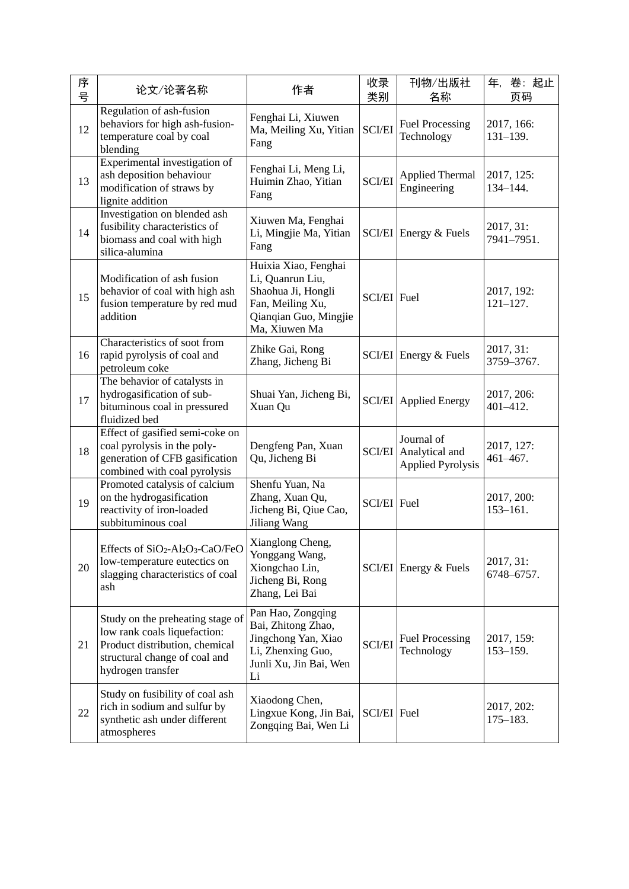| 序<br>号 | 论文/论著名称                                                                                                                                                                                                                       | 作者                                                                                                                           | 收录<br>类别      | 刊物/出版社<br>名称                                             | 年,<br>卷:起止<br>页码           |
|--------|-------------------------------------------------------------------------------------------------------------------------------------------------------------------------------------------------------------------------------|------------------------------------------------------------------------------------------------------------------------------|---------------|----------------------------------------------------------|----------------------------|
| 12     | Regulation of ash-fusion<br>behaviors for high ash-fusion-<br>temperature coal by coal<br>blending                                                                                                                            | Fenghai Li, Xiuwen<br>Ma, Meiling Xu, Yitian<br>Fang                                                                         | <b>SCI/EI</b> | <b>Fuel Processing</b><br>Technology                     | 2017, 166:<br>$131 - 139.$ |
| 13     | Experimental investigation of<br>ash deposition behaviour<br>modification of straws by<br>lignite addition                                                                                                                    | Fenghai Li, Meng Li,<br>Huimin Zhao, Yitian<br>Fang                                                                          | <b>SCI/EI</b> | <b>Applied Thermal</b><br>Engineering                    | 2017, 125:<br>$134 - 144.$ |
| 14     | Investigation on blended ash<br>fusibility characteristics of<br>biomass and coal with high<br>silica-alumina                                                                                                                 | Xiuwen Ma, Fenghai<br>Li, Mingjie Ma, Yitian<br>Fang                                                                         |               | SCI/EI Energy & Fuels                                    | 2017, 31:<br>7941-7951.    |
| 15     | Modification of ash fusion<br>behavior of coal with high ash<br>fusion temperature by red mud<br>addition                                                                                                                     | Huixia Xiao, Fenghai<br>Li, Quanrun Liu,<br>Shaohua Ji, Hongli<br>Fan, Meiling Xu,<br>Qianqian Guo, Mingjie<br>Ma, Xiuwen Ma | SCI/EI Fuel   |                                                          | 2017, 192:<br>$121 - 127.$ |
| 16     | Characteristics of soot from<br>rapid pyrolysis of coal and<br>petroleum coke                                                                                                                                                 | Zhike Gai, Rong<br>Zhang, Jicheng Bi                                                                                         | <b>SCI/EI</b> | Energy & Fuels                                           | 2017, 31:<br>3759-3767.    |
| 17     | The behavior of catalysts in<br>hydrogasification of sub-<br>bituminous coal in pressured<br>fluidized bed                                                                                                                    | Shuai Yan, Jicheng Bi,<br>Xuan Qu                                                                                            |               | <b>SCI/EI</b> Applied Energy                             | 2017, 206:<br>401-412.     |
| 18     | Effect of gasified semi-coke on<br>coal pyrolysis in the poly-<br>generation of CFB gasification<br>combined with coal pyrolysis                                                                                              | Dengfeng Pan, Xuan<br>Qu, Jicheng Bi                                                                                         | <b>SCI/EI</b> | Journal of<br>Analytical and<br><b>Applied Pyrolysis</b> | 2017, 127:<br>461-467.     |
| 19     | Promoted catalysis of calcium<br>on the hydrogasification<br>reactivity of iron-loaded<br>subbituminous coal                                                                                                                  | Shenfu Yuan, Na<br>Zhang, Xuan Qu,<br>Jicheng Bi, Qiue Cao,<br>Jiliang Wang                                                  | SCI/EI Fuel   |                                                          | 2017, 200:<br>$153 - 161.$ |
| 20     | Effects of SiO <sub>2</sub> -Al <sub>2</sub> O <sub>3</sub> -CaO/FeO $\Big \begin{array}{c} \text{Xianglong Cheng,} \\ \text{YZ} \end{array}\Big $<br>low-temperature eutectics on<br>slagging characteristics of coal<br>ash | Yonggang Wang,<br>Xiongchao Lin,<br>Jicheng Bi, Rong<br>Zhang, Lei Bai                                                       |               | SCI/EI Energy & Fuels                                    | 2017, 31:<br>6748-6757.    |
| 21     | Study on the preheating stage of<br>low rank coals liquefaction:<br>Product distribution, chemical<br>structural change of coal and<br>hydrogen transfer                                                                      | Pan Hao, Zongqing<br>Bai, Zhitong Zhao,<br>Jingchong Yan, Xiao<br>Li, Zhenxing Guo,<br>Junli Xu, Jin Bai, Wen<br>Li          | <b>SCI/EI</b> | <b>Fuel Processing</b><br>Technology                     | 2017, 159:<br>$153 - 159.$ |
| 22     | Study on fusibility of coal ash<br>rich in sodium and sulfur by<br>synthetic ash under different<br>atmospheres                                                                                                               | Xiaodong Chen,<br>Lingxue Kong, Jin Bai,<br>Zongqing Bai, Wen Li                                                             | SCI/EI Fuel   |                                                          | 2017, 202:<br>$175 - 183.$ |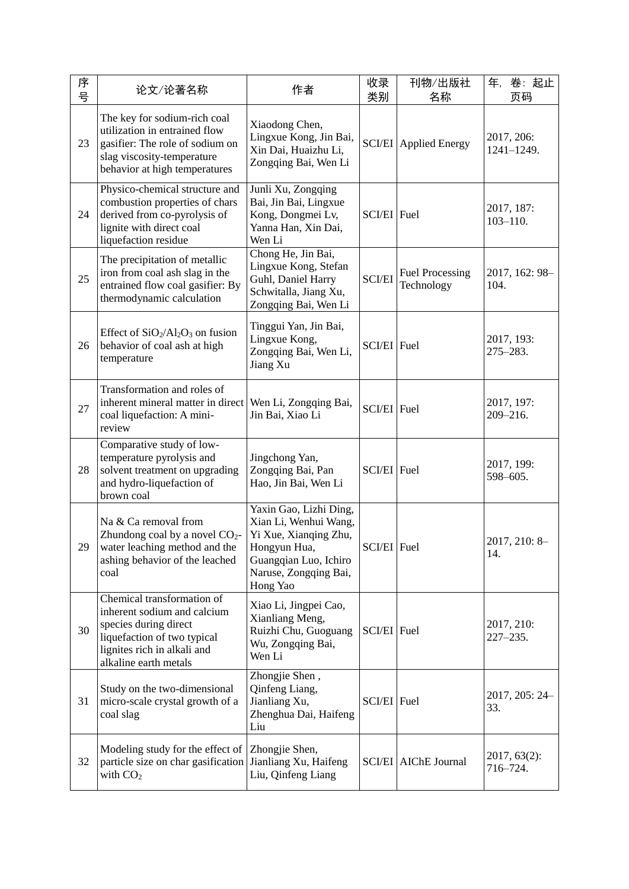| 序<br>号 | 论文/论著名称                                                                                                                                                                   | 作者                                                                                                                                                     | 收录<br>类别      | 刊物/出版社<br>名称                         | 年,<br>卷:起止<br>页码             |
|--------|---------------------------------------------------------------------------------------------------------------------------------------------------------------------------|--------------------------------------------------------------------------------------------------------------------------------------------------------|---------------|--------------------------------------|------------------------------|
| 23     | The key for sodium-rich coal<br>utilization in entrained flow<br>gasifier: The role of sodium on<br>slag viscosity-temperature<br>behavior at high temperatures           | Xiaodong Chen,<br>Lingxue Kong, Jin Bai,<br>Xin Dai, Huaizhu Li,<br>Zongqing Bai, Wen Li                                                               |               | <b>SCI/EI</b> Applied Energy         | 2017, 206:<br>$1241 - 1249.$ |
| 24     | Physico-chemical structure and<br>combustion properties of chars<br>derived from co-pyrolysis of<br>lignite with direct coal<br>liquefaction residue                      | Junli Xu, Zongqing<br>Bai, Jin Bai, Lingxue<br>Kong, Dongmei Lv,<br>Yanna Han, Xin Dai,<br>Wen Li                                                      | SCI/EI Fuel   |                                      | 2017, 187:<br>$103 - 110.$   |
| 25     | The precipitation of metallic<br>iron from coal ash slag in the<br>entrained flow coal gasifier: By<br>thermodynamic calculation                                          | Chong He, Jin Bai,<br>Lingxue Kong, Stefan<br>Guhl, Daniel Harry<br>Schwitalla, Jiang Xu,<br>Zongqing Bai, Wen Li                                      | <b>SCI/EI</b> | <b>Fuel Processing</b><br>Technology | 2017, 162: 98-<br>104.       |
| 26     | Effect of $SiO_2/Al_2O_3$ on fusion<br>behavior of coal ash at high<br>temperature                                                                                        | Tinggui Yan, Jin Bai,<br>Lingxue Kong,<br>Zongqing Bai, Wen Li,<br>Jiang Xu                                                                            | SCI/EI Fuel   |                                      | 2017, 193:<br>$275 - 283.$   |
| 27     | Transformation and roles of<br>inherent mineral matter in direct<br>coal liquefaction: A mini-<br>review                                                                  | Wen Li, Zongqing Bai,<br>Jin Bai, Xiao Li                                                                                                              | SCI/EI Fuel   |                                      | 2017, 197:<br>$209 - 216.$   |
| 28     | Comparative study of low-<br>temperature pyrolysis and<br>solvent treatment on upgrading<br>and hydro-liquefaction of<br>brown coal                                       | Jingchong Yan,<br>Zongqing Bai, Pan<br>Hao, Jin Bai, Wen Li                                                                                            | SCI/EI Fuel   |                                      | 2017, 199:<br>598-605.       |
| 29     | Na & Ca removal from<br>Zhundong coal by a novel $CO2$ -<br>water leaching method and the<br>ashing behavior of the leached<br>coal                                       | Yaxin Gao, Lizhi Ding,<br>Xian Li, Wenhui Wang,<br>Yi Xue, Xianqing Zhu,<br>Hongyun Hua,<br>Guangqian Luo, Ichiro<br>Naruse, Zongqing Bai,<br>Hong Yao | SCI/EI Fuel   |                                      | 2017, 210: 8-<br>14.         |
| 30     | Chemical transformation of<br>inherent sodium and calcium<br>species during direct<br>liquefaction of two typical<br>lignites rich in alkali and<br>alkaline earth metals | Xiao Li, Jingpei Cao,<br>Xianliang Meng,<br>Ruizhi Chu, Guoguang<br>Wu, Zongqing Bai,<br>Wen Li                                                        | SCI/EI Fuel   |                                      | 2017, 210:<br>$227 - 235.$   |
| 31     | Study on the two-dimensional<br>micro-scale crystal growth of a<br>coal slag                                                                                              | Zhongjie Shen,<br>Qinfeng Liang,<br>Jianliang Xu,<br>Zhenghua Dai, Haifeng<br>Liu                                                                      | SCI/EI Fuel   |                                      | 2017, 205: 24-<br>33.        |
| 32     | Modeling study for the effect of<br>particle size on char gasification<br>with $CO2$                                                                                      | Zhongjie Shen,<br>Jianliang Xu, Haifeng<br>Liu, Qinfeng Liang                                                                                          |               | <b>SCI/EI</b> AIChE Journal          | $2017, 63(2)$ :<br>716-724.  |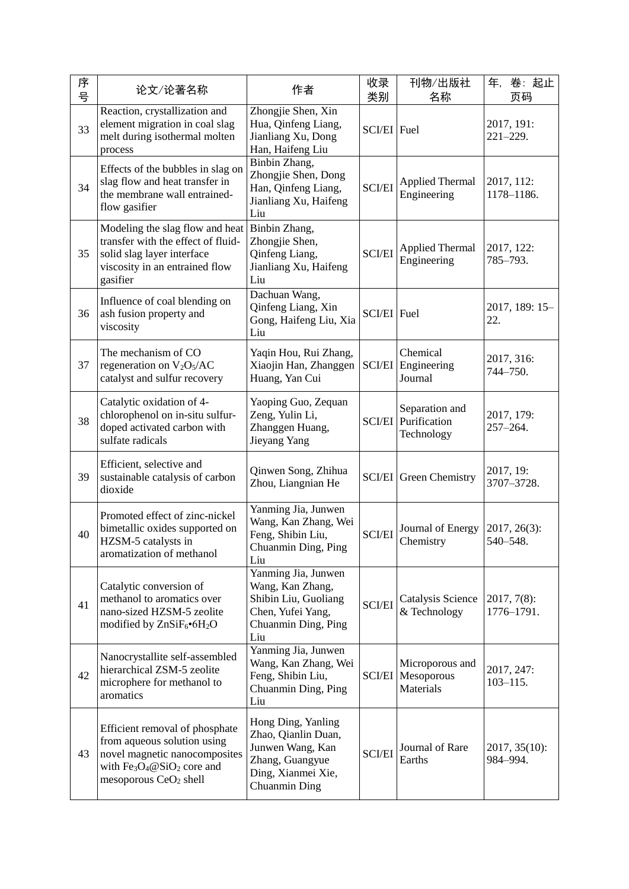| 序<br>号 | 论文/论著名称                                                                                                                                                           | 作者                                                                                                                      | 收录<br>类别      | 刊物/出版社<br>名称                                      | 卷:起止<br>年,<br>页码             |
|--------|-------------------------------------------------------------------------------------------------------------------------------------------------------------------|-------------------------------------------------------------------------------------------------------------------------|---------------|---------------------------------------------------|------------------------------|
| 33     | Reaction, crystallization and<br>element migration in coal slag<br>melt during isothermal molten<br>process                                                       | Zhongjie Shen, Xin<br>Hua, Qinfeng Liang,<br>Jianliang Xu, Dong<br>Han, Haifeng Liu                                     | SCI/EI Fuel   |                                                   | 2017, 191:<br>$221 - 229.$   |
| 34     | Effects of the bubbles in slag on<br>slag flow and heat transfer in<br>the membrane wall entrained-<br>flow gasifier                                              | Binbin Zhang,<br>Zhongjie Shen, Dong<br>Han, Qinfeng Liang,<br>Jianliang Xu, Haifeng<br>Liu                             | <b>SCI/EI</b> | <b>Applied Thermal</b><br>Engineering             | 2017, 112:<br>1178-1186.     |
| 35     | Modeling the slag flow and heat<br>transfer with the effect of fluid-<br>solid slag layer interface<br>viscosity in an entrained flow<br>gasifier                 | Binbin Zhang,<br>Zhongjie Shen,<br>Qinfeng Liang,<br>Jianliang Xu, Haifeng<br>Liu                                       | <b>SCI/EI</b> | <b>Applied Thermal</b><br>Engineering             | 2017, 122:<br>785-793.       |
| 36     | Influence of coal blending on<br>ash fusion property and<br>viscosity                                                                                             | Dachuan Wang,<br>Qinfeng Liang, Xin<br>Gong, Haifeng Liu, Xia<br>Liu                                                    | SCI/EI Fuel   |                                                   | 2017, 189: 15-<br>22.        |
| 37     | The mechanism of CO<br>regeneration on $V_2O_5/AC$<br>catalyst and sulfur recovery                                                                                | Yaqin Hou, Rui Zhang,<br>Xiaojin Han, Zhanggen<br>Huang, Yan Cui                                                        | <b>SCI/EI</b> | Chemical<br>Engineering<br>Journal                | 2017, 316:<br>744-750.       |
| 38     | Catalytic oxidation of 4-<br>chlorophenol on in-situ sulfur-<br>doped activated carbon with<br>sulfate radicals                                                   | Yaoping Guo, Zequan<br>Zeng, Yulin Li,<br>Zhanggen Huang,<br>Jieyang Yang                                               | <b>SCI/EI</b> | Separation and<br>Purification<br>Technology      | 2017, 179:<br>$257 - 264.$   |
| 39     | Efficient, selective and<br>sustainable catalysis of carbon<br>dioxide                                                                                            | Qinwen Song, Zhihua<br>Zhou, Liangnian He                                                                               |               | <b>SCI/EI</b> Green Chemistry                     | 2017, 19:<br>3707-3728.      |
| 40     | Promoted effect of zinc-nickel<br>bimetallic oxides supported on<br>HZSM-5 catalysts in<br>aromatization of methanol                                              | Yanming Jia, Junwen<br>Wang, Kan Zhang, Wei<br>Feng, Shibin Liu,<br>Chuanmin Ding, Ping<br>Liu                          | <b>SCI/EI</b> | Journal of Energy<br>Chemistry                    | 2017, 26(3):<br>540-548.     |
| 41     | Catalytic conversion of<br>methanol to aromatics over<br>nano-sized HZSM-5 zeolite<br>modified by ZnSiF <sub>6</sub> •6H <sub>2</sub> O                           | Yanming Jia, Junwen<br>Wang, Kan Zhang,<br>Shibin Liu, Guoliang<br>Chen, Yufei Yang,<br>Chuanmin Ding, Ping<br>Liu      | <b>SCI/EI</b> | Catalysis Science<br>& Technology                 | $2017, 7(8)$ :<br>1776-1791. |
| 42     | Nanocrystallite self-assembled<br>hierarchical ZSM-5 zeolite<br>microphere for methanol to<br>aromatics                                                           | Yanming Jia, Junwen<br>Wang, Kan Zhang, Wei<br>Feng, Shibin Liu,<br>Chuanmin Ding, Ping<br>Liu                          | <b>SCI/EI</b> | Microporous and<br>Mesoporous<br><b>Materials</b> | 2017, 247:<br>$103 - 115$ .  |
| 43     | Efficient removal of phosphate<br>from aqueous solution using<br>novel magnetic nanocomposites<br>with $Fe3O4@SiO2 core and$<br>mesoporous CeO <sub>2</sub> shell | Hong Ding, Yanling<br>Zhao, Qianlin Duan,<br>Junwen Wang, Kan<br>Zhang, Guangyue<br>Ding, Xianmei Xie,<br>Chuanmin Ding | <b>SCI/EI</b> | Journal of Rare<br>Earths                         | 2017, 35(10):<br>984-994.    |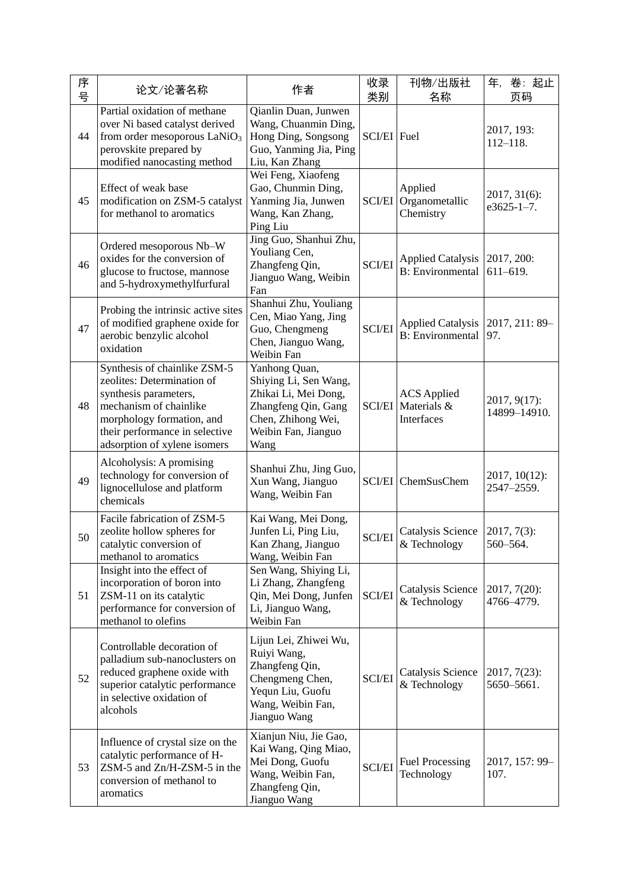| 序<br>号 | 论文/论著名称                                                                                                                                                                                                      | 作者                                                                                                                                         | 收录<br>类别      | 刊物/出版社<br>名称                                         | 卷:起止<br>年,<br>页码                  |
|--------|--------------------------------------------------------------------------------------------------------------------------------------------------------------------------------------------------------------|--------------------------------------------------------------------------------------------------------------------------------------------|---------------|------------------------------------------------------|-----------------------------------|
| 44     | Partial oxidation of methane<br>over Ni based catalyst derived<br>from order mesoporous $LaNiO3$<br>perovskite prepared by<br>modified nanocasting method                                                    | Qianlin Duan, Junwen<br>Wang, Chuanmin Ding,<br>Hong Ding, Songsong<br>Guo, Yanming Jia, Ping<br>Liu, Kan Zhang                            | SCI/EI Fuel   |                                                      | 2017, 193:<br>$112 - 118.$        |
| 45     | Effect of weak base<br>modification on ZSM-5 catalyst<br>for methanol to aromatics                                                                                                                           | Wei Feng, Xiaofeng<br>Gao, Chunmin Ding,<br>Yanming Jia, Junwen<br>Wang, Kan Zhang,<br>Ping Liu                                            | SCI/EI        | Applied<br>Organometallic<br>Chemistry               | 2017, 31(6):<br>$e3625 - 1 - 7$ . |
| 46     | Ordered mesoporous Nb-W<br>oxides for the conversion of<br>glucose to fructose, mannose<br>and 5-hydroxymethylfurfural                                                                                       | Jing Guo, Shanhui Zhu,<br>Youliang Cen,<br>Zhangfeng Qin,<br>Jianguo Wang, Weibin<br>Fan                                                   | <b>SCI/EI</b> | <b>Applied Catalysis</b><br><b>B</b> : Environmental | 2017, 200:<br>$611 - 619.$        |
| 47     | Probing the intrinsic active sites<br>of modified graphene oxide for<br>aerobic benzylic alcohol<br>oxidation                                                                                                | Shanhui Zhu, Youliang<br>Cen, Miao Yang, Jing<br>Guo, Chengmeng<br>Chen, Jianguo Wang,<br>Weibin Fan                                       | <b>SCI/EI</b> | <b>Applied Catalysis</b><br><b>B:</b> Environmental  | 2017, 211: 89-<br>97.             |
| 48     | Synthesis of chainlike ZSM-5<br>zeolites: Determination of<br>synthesis parameters,<br>mechanism of chainlike<br>morphology formation, and<br>their performance in selective<br>adsorption of xylene isomers | Yanhong Quan,<br>Shiying Li, Sen Wang,<br>Zhikai Li, Mei Dong,<br>Zhangfeng Qin, Gang<br>Chen, Zhihong Wei,<br>Weibin Fan, Jianguo<br>Wang | <b>SCI/EI</b> | <b>ACS</b> Applied<br>Materials &<br>Interfaces      | 2017, 9(17):<br>14899-14910.      |
| 49     | Alcoholysis: A promising<br>technology for conversion of<br>lignocellulose and platform<br>chemicals                                                                                                         | Shanhui Zhu, Jing Guo,<br>Xun Wang, Jianguo<br>Wang, Weibin Fan                                                                            |               | SCI/EI ChemSusChem                                   | 2017, 10(12):<br>2547-2559.       |
| 50     | Facile fabrication of ZSM-5<br>zeolite hollow spheres for<br>catalytic conversion of<br>methanol to aromatics                                                                                                | Kai Wang, Mei Dong,<br>Junfen Li, Ping Liu,<br>Kan Zhang, Jianguo<br>Wang, Weibin Fan                                                      | <b>SCI/EI</b> | Catalysis Science<br>& Technology                    | $2017, 7(3)$ :<br>560-564.        |
| 51     | Insight into the effect of<br>incorporation of boron into<br>ZSM-11 on its catalytic<br>performance for conversion of<br>methanol to olefins                                                                 | Sen Wang, Shiying Li,<br>Li Zhang, Zhangfeng<br>Qin, Mei Dong, Junfen<br>Li, Jianguo Wang,<br>Weibin Fan                                   | <b>SCI/EI</b> | Catalysis Science<br>& Technology                    | 2017, 7(20):<br>4766-4779.        |
| 52     | Controllable decoration of<br>palladium sub-nanoclusters on<br>reduced graphene oxide with<br>superior catalytic performance<br>in selective oxidation of<br>alcohols                                        | Lijun Lei, Zhiwei Wu,<br>Ruiyi Wang,<br>Zhangfeng Qin,<br>Chengmeng Chen,<br>Yequn Liu, Guofu<br>Wang, Weibin Fan,<br>Jianguo Wang         | <b>SCI/EI</b> | Catalysis Science<br>& Technology                    | $2017, 7(23)$ :<br>5650-5661.     |
| 53     | Influence of crystal size on the<br>catalytic performance of H-<br>ZSM-5 and Zn/H-ZSM-5 in the<br>conversion of methanol to<br>aromatics                                                                     | Xianjun Niu, Jie Gao,<br>Kai Wang, Qing Miao,<br>Mei Dong, Guofu<br>Wang, Weibin Fan,<br>Zhangfeng Qin,<br>Jianguo Wang                    | <b>SCI/EI</b> | <b>Fuel Processing</b><br>Technology                 | 2017, 157: 99-<br>107.            |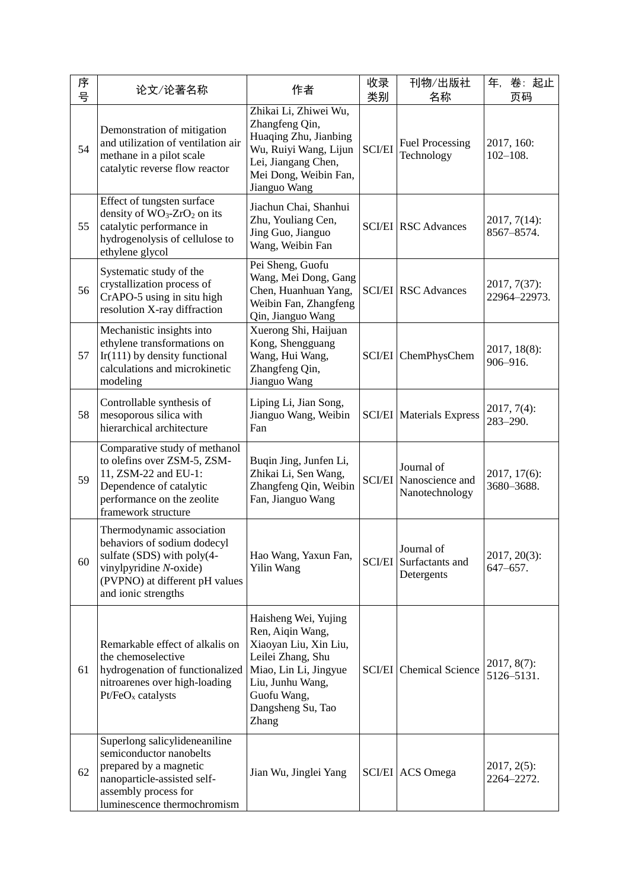| 序<br>号 | 论文/论著名称                                                                                                                                                                   | 作者                                                                                                                                                                               | 收录<br>类别      | 刊物/出版社<br>名称                                              | 卷:起止<br>年,<br>页码             |
|--------|---------------------------------------------------------------------------------------------------------------------------------------------------------------------------|----------------------------------------------------------------------------------------------------------------------------------------------------------------------------------|---------------|-----------------------------------------------------------|------------------------------|
| 54     | Demonstration of mitigation<br>and utilization of ventilation air<br>methane in a pilot scale<br>catalytic reverse flow reactor                                           | Zhikai Li, Zhiwei Wu,<br>Zhangfeng Qin,<br>Huaqing Zhu, Jianbing<br>Wu, Ruiyi Wang, Lijun<br>Lei, Jiangang Chen,<br>Mei Dong, Weibin Fan,<br>Jianguo Wang                        | <b>SCI/EI</b> | <b>Fuel Processing</b><br>Technology                      | 2017, 160:<br>$102 - 108.$   |
| 55     | Effect of tungsten surface<br>density of $WO_3$ -ZrO <sub>2</sub> on its<br>catalytic performance in<br>hydrogenolysis of cellulose to<br>ethylene glycol                 | Jiachun Chai, Shanhui<br>Zhu, Youliang Cen,<br>Jing Guo, Jianguo<br>Wang, Weibin Fan                                                                                             |               | <b>SCI/EI</b> RSC Advances                                | 2017, 7(14):<br>8567-8574.   |
| 56     | Systematic study of the<br>crystallization process of<br>CrAPO-5 using in situ high<br>resolution X-ray diffraction                                                       | Pei Sheng, Guofu<br>Wang, Mei Dong, Gang<br>Chen, Huanhuan Yang,<br>Weibin Fan, Zhangfeng<br>Qin, Jianguo Wang                                                                   |               | <b>SCI/EI</b> RSC Advances                                | 2017, 7(37):<br>22964-22973. |
| 57     | Mechanistic insights into<br>ethylene transformations on<br>$Ir(111)$ by density functional<br>calculations and microkinetic<br>modeling                                  | Xuerong Shi, Haijuan<br>Kong, Shengguang<br>Wang, Hui Wang,<br>Zhangfeng Qin,<br>Jianguo Wang                                                                                    |               | SCI/EI ChemPhysChem                                       | $2017, 18(8)$ :<br>906-916.  |
| 58     | Controllable synthesis of<br>mesoporous silica with<br>hierarchical architecture                                                                                          | Liping Li, Jian Song,<br>Jianguo Wang, Weibin<br>Fan                                                                                                                             |               | <b>SCI/EI</b> Materials Express                           | $2017, 7(4)$ :<br>283-290.   |
| 59     | Comparative study of methanol<br>to olefins over ZSM-5, ZSM-<br>11, ZSM-22 and EU-1:<br>Dependence of catalytic<br>performance on the zeolite<br>framework structure      | Buqin Jing, Junfen Li,<br>Zhikai Li, Sen Wang,<br>Zhangfeng Qin, Weibin<br>Fan, Jianguo Wang                                                                                     |               | Journal of<br>SCI/EI Nanoscience and<br>Nanotechnology    | 2017, 17(6):<br>3680-3688.   |
| 60     | Thermodynamic association<br>behaviors of sodium dodecyl<br>sulfate (SDS) with poly(4-<br>vinylpyridine N-oxide)<br>(PVPNO) at different pH values<br>and ionic strengths | Hao Wang, Yaxun Fan,<br>Yilin Wang                                                                                                                                               |               | Journal of<br><b>SCI/EI</b> Surfactants and<br>Detergents | 2017, 20(3):<br>647-657.     |
| 61     | Remarkable effect of alkalis on<br>the chemoselective<br>hydrogenation of functionalized<br>nitroarenes over high-loading<br>$Pt/FeOx$ catalysts                          | Haisheng Wei, Yujing<br>Ren, Aiqin Wang,<br>Xiaoyan Liu, Xin Liu,<br>Leilei Zhang, Shu<br>Miao, Lin Li, Jingyue<br>Liu, Junhu Wang,<br>Guofu Wang,<br>Dangsheng Su, Tao<br>Zhang | <b>SCI/EI</b> | <b>Chemical Science</b>                                   | $2017, 8(7)$ :<br>5126-5131. |
| 62     | Superlong salicylideneaniline<br>semiconductor nanobelts<br>prepared by a magnetic<br>nanoparticle-assisted self-<br>assembly process for<br>luminescence thermochromism  | Jian Wu, Jinglei Yang                                                                                                                                                            |               | SCI/EI ACS Omega                                          | $2017, 2(5)$ :<br>2264-2272. |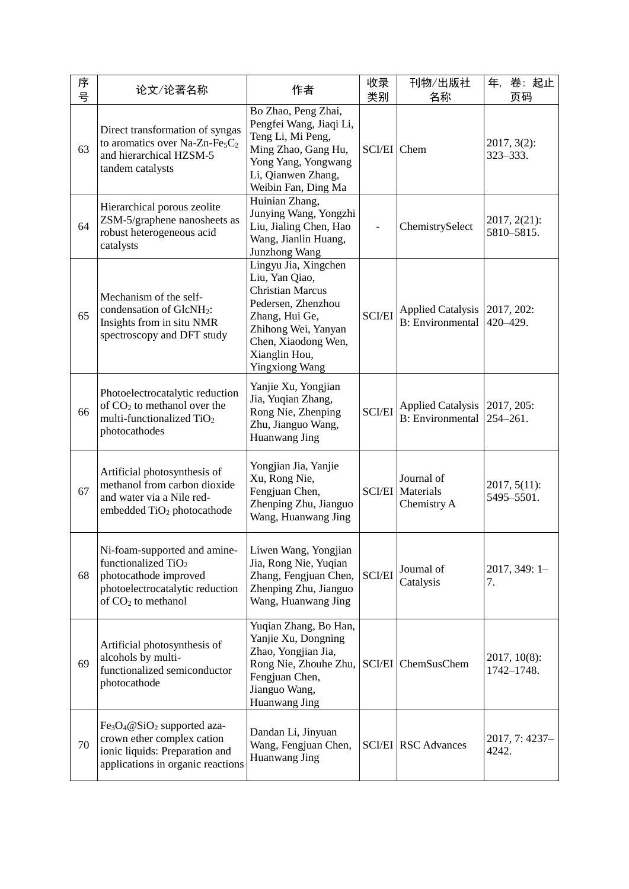| 序<br>号 | 论文/论著名称                                                                                                                                                              | 作者                                                                                                                                                                                                | 收录<br>类别      | 刊物/出版社<br>名称                                         | 卷:起止<br>年,<br>页码              |
|--------|----------------------------------------------------------------------------------------------------------------------------------------------------------------------|---------------------------------------------------------------------------------------------------------------------------------------------------------------------------------------------------|---------------|------------------------------------------------------|-------------------------------|
| 63     | Direct transformation of syngas<br>to aromatics over Na-Zn-Fe <sub>5</sub> C <sub>2</sub><br>and hierarchical HZSM-5<br>tandem catalysts                             | Bo Zhao, Peng Zhai,<br>Pengfei Wang, Jiaqi Li,<br>Teng Li, Mi Peng,<br>Ming Zhao, Gang Hu,<br>Yong Yang, Yongwang<br>Li, Qianwen Zhang,<br>Weibin Fan, Ding Ma                                    | SCI/EI Chem   |                                                      | $2017, 3(2)$ :<br>323-333.    |
| 64     | Hierarchical porous zeolite<br>ZSM-5/graphene nanosheets as<br>robust heterogeneous acid<br>catalysts                                                                | Huinian Zhang,<br>Junying Wang, Yongzhi<br>Liu, Jialing Chen, Hao<br>Wang, Jianlin Huang,<br><b>Junzhong Wang</b>                                                                                 |               | ChemistrySelect                                      | $2017, 2(21)$ :<br>5810-5815. |
| 65     | Mechanism of the self-<br>condensation of GlcNH <sub>2</sub> :<br>Insights from in situ NMR<br>spectroscopy and DFT study                                            | Lingyu Jia, Xingchen<br>Liu, Yan Qiao,<br><b>Christian Marcus</b><br>Pedersen, Zhenzhou<br>Zhang, Hui Ge,<br>Zhihong Wei, Yanyan<br>Chen, Xiaodong Wen,<br>Xianglin Hou,<br><b>Yingxiong Wang</b> | <b>SCI/EI</b> | <b>Applied Catalysis</b><br><b>B</b> : Environmental | 2017, 202:<br>420-429.        |
| 66     | Photoelectrocatalytic reduction<br>of $CO2$ to methanol over the<br>multi-functionalized TiO <sub>2</sub><br>photocathodes                                           | Yanjie Xu, Yongjian<br>Jia, Yuqian Zhang,<br>Rong Nie, Zhenping<br>Zhu, Jianguo Wang,<br>Huanwang Jing                                                                                            | <b>SCI/EI</b> | <b>Applied Catalysis</b><br><b>B</b> : Environmental | 2017, 205:<br>$254 - 261.$    |
| 67     | Artificial photosynthesis of<br>methanol from carbon dioxide<br>and water via a Nile red-<br>embedded TiO <sub>2</sub> photocathode                                  | Yongjian Jia, Yanjie<br>Xu, Rong Nie,<br>Fengjuan Chen,<br>Zhenping Zhu, Jianguo<br>Wang, Huanwang Jing                                                                                           |               | Journal of<br><b>SCI/EI</b> Materials<br>Chemistry A | $2017, 5(11)$ :<br>5495-5501. |
| 68     | Ni-foam-supported and amine-<br>functionalized TiO <sub>2</sub><br>photocathode improved<br>photoelectrocatalytic reduction<br>of $CO2$ to methanol                  | Liwen Wang, Yongjian<br>Jia, Rong Nie, Yuqian<br>Zhang, Fengjuan Chen,<br>Zhenping Zhu, Jianguo<br>Wang, Huanwang Jing                                                                            | <b>SCI/EI</b> | Journal of<br>Catalysis                              | 2017, 349: 1-<br>7.           |
| 69     | Artificial photosynthesis of<br>alcohols by multi-<br>functionalized semiconductor<br>photocathode                                                                   | Yuqian Zhang, Bo Han,<br>Yanjie Xu, Dongning<br>Zhao, Yongjian Jia,<br>Rong Nie, Zhouhe Zhu,<br>Fengjuan Chen,<br>Jianguo Wang,<br>Huanwang Jing                                                  | <b>SCI/EI</b> | ChemSusChem                                          | $2017, 10(8)$ :<br>1742-1748. |
| 70     | Fe <sub>3</sub> O <sub>4</sub> @SiO <sub>2</sub> supported aza-<br>crown ether complex cation<br>ionic liquids: Preparation and<br>applications in organic reactions | Dandan Li, Jinyuan<br>Wang, Fengjuan Chen,<br>Huanwang Jing                                                                                                                                       |               | <b>SCI/EI</b> RSC Advances                           | 2017, 7: 4237-<br>4242.       |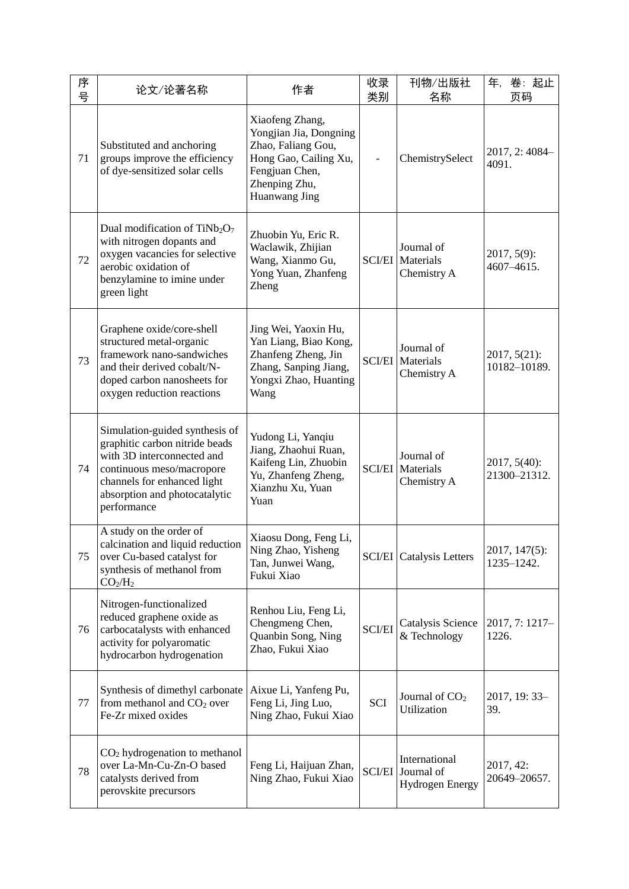| 序<br>号 | 论文/论著名称                                                                                                                                                                                                    | 作者                                                                                                                                           | 收录<br>类别      | 刊物/出版社<br>名称                                          | 年,<br>卷:起止<br>页码                |
|--------|------------------------------------------------------------------------------------------------------------------------------------------------------------------------------------------------------------|----------------------------------------------------------------------------------------------------------------------------------------------|---------------|-------------------------------------------------------|---------------------------------|
| 71     | Substituted and anchoring<br>groups improve the efficiency<br>of dye-sensitized solar cells                                                                                                                | Xiaofeng Zhang,<br>Yongjian Jia, Dongning<br>Zhao, Faliang Gou,<br>Hong Gao, Cailing Xu,<br>Fengjuan Chen,<br>Zhenping Zhu,<br>Huanwang Jing |               | ChemistrySelect                                       | 2017, 2:4084-<br>4091.          |
| 72     | Dual modification of TiNb <sub>2</sub> O <sub>7</sub><br>with nitrogen dopants and<br>oxygen vacancies for selective<br>aerobic oxidation of<br>benzylamine to imine under<br>green light                  | Zhuobin Yu, Eric R.<br>Waclawik, Zhijian<br>Wang, Xianmo Gu,<br>Yong Yuan, Zhanfeng<br>Zheng                                                 | <b>SCI/EI</b> | Journal of<br>Materials<br>Chemistry A                | $2017, 5(9)$ :<br>4607-4615.    |
| 73     | Graphene oxide/core-shell<br>structured metal-organic<br>framework nano-sandwiches<br>and their derived cobalt/N-<br>doped carbon nanosheets for<br>oxygen reduction reactions                             | Jing Wei, Yaoxin Hu,<br>Yan Liang, Biao Kong,<br>Zhanfeng Zheng, Jin<br>Zhang, Sanping Jiang,<br>Yongxi Zhao, Huanting<br>Wang               | <b>SCI/EI</b> | Journal of<br>Materials<br>Chemistry A                | $2017, 5(21)$ :<br>10182-10189. |
| 74     | Simulation-guided synthesis of<br>graphitic carbon nitride beads<br>with 3D interconnected and<br>continuous meso/macropore<br>channels for enhanced light<br>absorption and photocatalytic<br>performance | Yudong Li, Yanqiu<br>Jiang, Zhaohui Ruan,<br>Kaifeng Lin, Zhuobin<br>Yu, Zhanfeng Zheng,<br>Xianzhu Xu, Yuan<br>Yuan                         | <b>SCI/EI</b> | Journal of<br>Materials<br>Chemistry A                | $2017, 5(40)$ :<br>21300-21312. |
| 75     | A study on the order of<br>calcination and liquid reduction<br>over Cu-based catalyst for<br>synthesis of methanol from<br>CO <sub>2</sub> /H <sub>2</sub>                                                 | Xiaosu Dong, Feng Li,<br>Ning Zhao, Yisheng<br>Tan, Junwei Wang,<br>Fukui Xiao                                                               |               | <b>SCI/EI</b> Catalysis Letters                       | 2017, 147(5):<br>1235-1242.     |
| 76     | Nitrogen-functionalized<br>reduced graphene oxide as<br>carbocatalysts with enhanced<br>activity for polyaromatic<br>hydrocarbon hydrogenation                                                             | Renhou Liu, Feng Li,<br>Chengmeng Chen,<br>Quanbin Song, Ning<br>Zhao, Fukui Xiao                                                            | <b>SCI/EI</b> | Catalysis Science<br>& Technology                     | 2017, 7: 1217-<br>1226.         |
| 77     | Synthesis of dimethyl carbonate<br>from methanol and $CO2$ over<br>Fe-Zr mixed oxides                                                                                                                      | Aixue Li, Yanfeng Pu,<br>Feng Li, Jing Luo,<br>Ning Zhao, Fukui Xiao                                                                         | SCI           | Journal of $CO2$<br>Utilization                       | 2017, 19: 33-<br>39.            |
| 78     | $CO2$ hydrogenation to methanol<br>over La-Mn-Cu-Zn-O based<br>catalysts derived from<br>perovskite precursors                                                                                             | Feng Li, Haijuan Zhan,<br>Ning Zhao, Fukui Xiao                                                                                              | <b>SCI/EI</b> | International<br>Journal of<br><b>Hydrogen Energy</b> | 2017, 42:<br>20649-20657.       |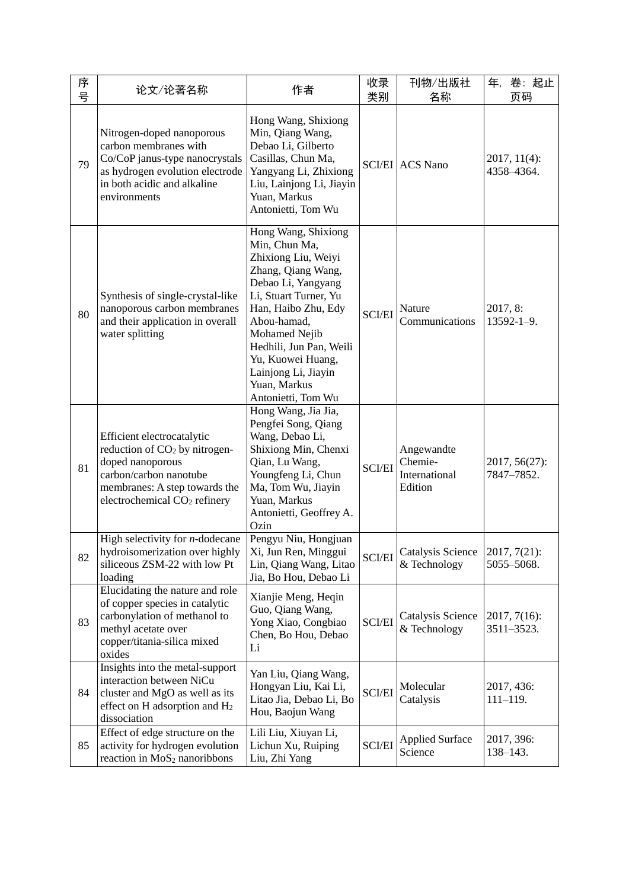| 序<br>号 | 论文/论著名称                                                                                                                                                                                  | 作者                                                                                                                                                                                                                                                                                                   | 收录<br>类别      | 刊物/出版社<br>名称                                      | 年,<br>卷:起止<br>页码              |
|--------|------------------------------------------------------------------------------------------------------------------------------------------------------------------------------------------|------------------------------------------------------------------------------------------------------------------------------------------------------------------------------------------------------------------------------------------------------------------------------------------------------|---------------|---------------------------------------------------|-------------------------------|
| 79     | Nitrogen-doped nanoporous<br>carbon membranes with<br>Co/CoP janus-type nanocrystals<br>as hydrogen evolution electrode<br>in both acidic and alkaline<br>environments                   | Hong Wang, Shixiong<br>Min, Qiang Wang,<br>Debao Li, Gilberto<br>Casillas, Chun Ma,<br>Yangyang Li, Zhixiong<br>Liu, Lainjong Li, Jiayin<br>Yuan, Markus<br>Antonietti, Tom Wu                                                                                                                       |               | <b>SCI/EI</b> ACS Nano                            | $2017, 11(4)$ :<br>4358-4364. |
| 80     | Synthesis of single-crystal-like<br>nanoporous carbon membranes<br>and their application in overall<br>water splitting                                                                   | Hong Wang, Shixiong<br>Min, Chun Ma,<br>Zhixiong Liu, Weiyi<br>Zhang, Qiang Wang,<br>Debao Li, Yangyang<br>Li, Stuart Turner, Yu<br>Han, Haibo Zhu, Edy<br>Abou-hamad,<br>Mohamed Nejib<br>Hedhili, Jun Pan, Weili<br>Yu, Kuowei Huang,<br>Lainjong Li, Jiayin<br>Yuan, Markus<br>Antonietti, Tom Wu | <b>SCI/EI</b> | Nature<br>Communications                          | 2017, 8:<br>$13592 - 1 - 9$ . |
| 81     | Efficient electrocatalytic<br>reduction of CO <sub>2</sub> by nitrogen-<br>doped nanoporous<br>carbon/carbon nanotube<br>membranes: A step towards the<br>electrochemical $CO2$ refinery | Hong Wang, Jia Jia,<br>Pengfei Song, Qiang<br>Wang, Debao Li,<br>Shixiong Min, Chenxi<br>Qian, Lu Wang,<br>Youngfeng Li, Chun<br>Ma, Tom Wu, Jiayin<br>Yuan, Markus<br>Antonietti, Geoffrey A.<br>Ozin                                                                                               | <b>SCI/EI</b> | Angewandte<br>Chemie-<br>International<br>Edition | 2017, 56(27):<br>7847–7852.   |
| 82     | High selectivity for $n$ -dodecane<br>hydroisomerization over highly<br>siliceous ZSM-22 with low Pt<br>loading                                                                          | Pengyu Niu, Hongjuan<br>Xi, Jun Ren, Minggui<br>Lin, Qiang Wang, Litao<br>Jia, Bo Hou, Debao Li                                                                                                                                                                                                      | <b>SCI/EI</b> | Catalysis Science<br>& Technology                 | $2017, 7(21)$ :<br>5055-5068. |
| 83     | Elucidating the nature and role<br>of copper species in catalytic<br>carbonylation of methanol to<br>methyl acetate over<br>copper/titania-silica mixed<br>oxides                        | Xianjie Meng, Heqin<br>Guo, Qiang Wang,<br>Yong Xiao, Congbiao<br>Chen, Bo Hou, Debao<br>Li                                                                                                                                                                                                          | <b>SCI/EI</b> | Catalysis Science<br>& Technology                 | $2017, 7(16)$ :<br>3511-3523. |
| 84     | Insights into the metal-support<br>interaction between NiCu<br>cluster and MgO as well as its<br>effect on H adsorption and H <sub>2</sub><br>dissociation                               | Yan Liu, Qiang Wang,<br>Hongyan Liu, Kai Li,<br>Litao Jia, Debao Li, Bo<br>Hou, Baojun Wang                                                                                                                                                                                                          | <b>SCI/EI</b> | Molecular<br>Catalysis                            | 2017, 436:<br>$111 - 119.$    |
| 85     | Effect of edge structure on the<br>activity for hydrogen evolution<br>reaction in MoS <sub>2</sub> nanoribbons                                                                           | Lili Liu, Xiuyan Li,<br>Lichun Xu, Ruiping<br>Liu, Zhi Yang                                                                                                                                                                                                                                          | <b>SCI/EI</b> | <b>Applied Surface</b><br>Science                 | 2017, 396:<br>$138 - 143.$    |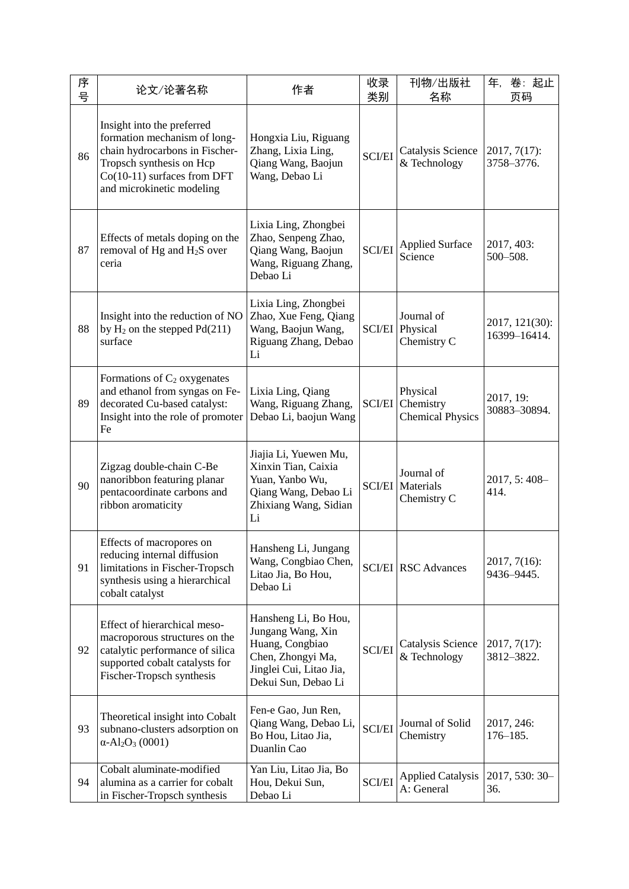| 序<br>号 | 论文/论著名称                                                                                                                                                                              | 作者                                                                                                                                  | 收录<br>类别      | 刊物/出版社<br>名称                                         | 卷:起止<br>年,<br>页码               |
|--------|--------------------------------------------------------------------------------------------------------------------------------------------------------------------------------------|-------------------------------------------------------------------------------------------------------------------------------------|---------------|------------------------------------------------------|--------------------------------|
| 86     | Insight into the preferred<br>formation mechanism of long-<br>chain hydrocarbons in Fischer-<br>Tropsch synthesis on Hcp<br>Co(10-11) surfaces from DFT<br>and microkinetic modeling | Hongxia Liu, Riguang<br>Zhang, Lixia Ling,<br>Qiang Wang, Baojun<br>Wang, Debao Li                                                  | <b>SCI/EI</b> | Catalysis Science<br>& Technology                    | $2017, 7(17)$ :<br>3758-3776.  |
| 87     | Effects of metals doping on the<br>removal of Hg and H <sub>2</sub> S over<br>ceria                                                                                                  | Lixia Ling, Zhongbei<br>Zhao, Senpeng Zhao,<br>Qiang Wang, Baojun<br>Wang, Riguang Zhang,<br>Debao Li                               | <b>SCI/EI</b> | <b>Applied Surface</b><br>Science                    | 2017, 403:<br>500-508.         |
| 88     | Insight into the reduction of NO<br>by $H_2$ on the stepped $Pd(211)$<br>surface                                                                                                     | Lixia Ling, Zhongbei<br>Zhao, Xue Feng, Qiang<br>Wang, Baojun Wang,<br>Riguang Zhang, Debao<br>Li                                   | <b>SCI/EI</b> | Journal of<br>Physical<br>Chemistry C                | 2017, 121(30):<br>16399-16414. |
| 89     | Formations of $C_2$ oxygenates<br>and ethanol from syngas on Fe-<br>decorated Cu-based catalyst:<br>Insight into the role of promoter<br>Fe                                          | Lixia Ling, Qiang<br>Wang, Riguang Zhang,<br>Debao Li, baojun Wang                                                                  | <b>SCI/EI</b> | Physical<br>Chemistry<br><b>Chemical Physics</b>     | 2017, 19:<br>30883-30894.      |
| 90     | Zigzag double-chain C-Be<br>nanoribbon featuring planar<br>pentacoordinate carbons and<br>ribbon aromaticity                                                                         | Jiajia Li, Yuewen Mu,<br>Xinxin Tian, Caixia<br>Yuan, Yanbo Wu,<br>Qiang Wang, Debao Li<br>Zhixiang Wang, Sidian<br>Li              |               | Journal of<br><b>SCI/EI</b> Materials<br>Chemistry C | 2017, 5:408-<br>414.           |
| 91     | Effects of macropores on<br>reducing internal diffusion<br>limitations in Fischer-Tropsch<br>synthesis using a hierarchical<br>cobalt catalyst                                       | Hansheng Li, Jungang<br>Wang, Congbiao Chen,<br>Litao Jia, Bo Hou,<br>Debao Li                                                      |               | <b>SCI/EI</b> RSC Advances                           | $2017, 7(16)$ :<br>9436-9445.  |
| 92     | Effect of hierarchical meso-<br>macroporous structures on the<br>catalytic performance of silica<br>supported cobalt catalysts for<br>Fischer-Tropsch synthesis                      | Hansheng Li, Bo Hou,<br>Jungang Wang, Xin<br>Huang, Congbiao<br>Chen, Zhongyi Ma,<br>Jinglei Cui, Litao Jia,<br>Dekui Sun, Debao Li | <b>SCI/EI</b> | Catalysis Science<br>& Technology                    | $2017, 7(17)$ :<br>3812-3822.  |
| 93     | Theoretical insight into Cobalt<br>subnano-clusters adsorption on<br>$\alpha$ -Al <sub>2</sub> O <sub>3</sub> (0001)                                                                 | Fen-e Gao, Jun Ren,<br>Qiang Wang, Debao Li,<br>Bo Hou, Litao Jia,<br>Duanlin Cao                                                   | <b>SCI/EI</b> | Journal of Solid<br>Chemistry                        | 2017, 246:<br>$176 - 185.$     |
| 94     | Cobalt aluminate-modified<br>alumina as a carrier for cobalt<br>in Fischer-Tropsch synthesis                                                                                         | Yan Liu, Litao Jia, Bo<br>Hou, Dekui Sun,<br>Debao Li                                                                               | <b>SCI/EI</b> | <b>Applied Catalysis</b><br>A: General               | 2017, 530: 30-<br>36.          |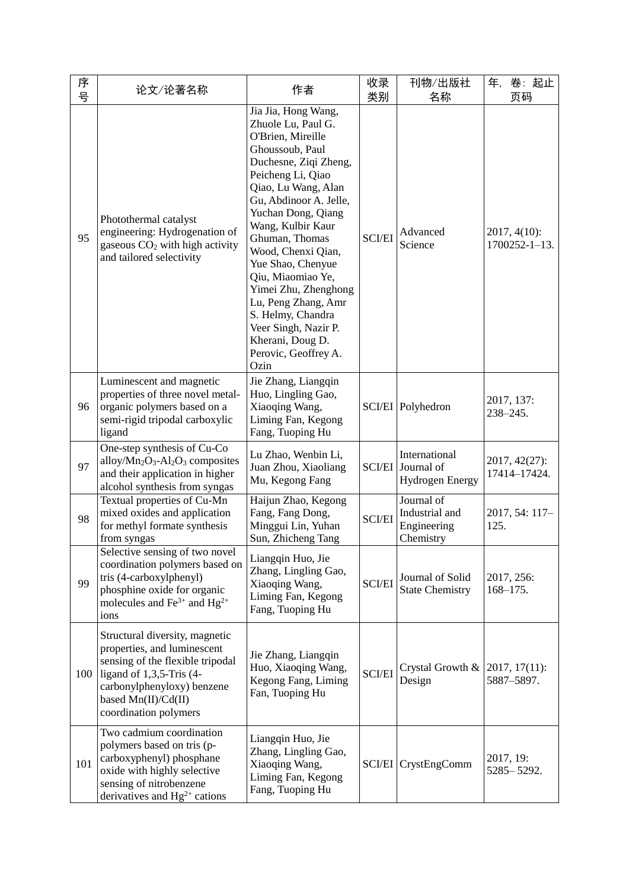| 序<br>号 | 论文/论著名称                                                                                                                                                                                                        | 作者                                                                                                                                                                                                                                                                                                                                                                                                                                                            | 收录<br>类别      | 刊物/出版社<br>名称                                                 | 年,<br>卷:起止<br>页码                        |
|--------|----------------------------------------------------------------------------------------------------------------------------------------------------------------------------------------------------------------|---------------------------------------------------------------------------------------------------------------------------------------------------------------------------------------------------------------------------------------------------------------------------------------------------------------------------------------------------------------------------------------------------------------------------------------------------------------|---------------|--------------------------------------------------------------|-----------------------------------------|
| 95     | Photothermal catalyst<br>engineering: Hydrogenation of<br>gaseous $CO2$ with high activity<br>and tailored selectivity                                                                                         | Jia Jia, Hong Wang,<br>Zhuole Lu, Paul G.<br>O'Brien, Mireille<br>Ghoussoub, Paul<br>Duchesne, Ziqi Zheng,<br>Peicheng Li, Qiao<br>Qiao, Lu Wang, Alan<br>Gu, Abdinoor A. Jelle,<br>Yuchan Dong, Qiang<br>Wang, Kulbir Kaur<br>Ghuman, Thomas<br>Wood, Chenxi Qian,<br>Yue Shao, Chenyue<br>Qiu, Miaomiao Ye,<br>Yimei Zhu, Zhenghong<br>Lu, Peng Zhang, Amr<br>S. Helmy, Chandra<br>Veer Singh, Nazir P.<br>Kherani, Doug D.<br>Perovic, Geoffrey A.<br>Ozin | <b>SCI/EI</b> | Advanced<br>Science                                          | $2017, 4(10)$ :<br>$1700252 - 1 - 13$ . |
| 96     | Luminescent and magnetic<br>properties of three novel metal-<br>organic polymers based on a<br>semi-rigid tripodal carboxylic<br>ligand                                                                        | Jie Zhang, Liangqin<br>Huo, Lingling Gao,<br>Xiaoqing Wang,<br>Liming Fan, Kegong<br>Fang, Tuoping Hu                                                                                                                                                                                                                                                                                                                                                         |               | SCI/EI Polyhedron                                            | 2017, 137:<br>$238 - 245.$              |
| 97     | One-step synthesis of Cu-Co<br>$\text{alloy/Mn}_2\text{O}_3\text{-}\text{Al}_2\text{O}_3$ composites<br>and their application in higher<br>alcohol synthesis from syngas                                       | Lu Zhao, Wenbin Li,<br>Juan Zhou, Xiaoliang<br>Mu, Kegong Fang                                                                                                                                                                                                                                                                                                                                                                                                |               | International<br>SCI/EI Journal of<br><b>Hydrogen Energy</b> | 2017, 42(27):<br>17414-17424.           |
| 98     | Textual properties of Cu-Mn<br>mixed oxides and application<br>for methyl formate synthesis<br>from syngas                                                                                                     | Haijun Zhao, Kegong<br>Fang, Fang Dong,<br>Minggui Lin, Yuhan<br>Sun, Zhicheng Tang                                                                                                                                                                                                                                                                                                                                                                           | <b>SCI/EI</b> | Journal of<br>Industrial and<br>Engineering<br>Chemistry     | 2017, 54: 117-<br>125.                  |
| 99     | Selective sensing of two novel<br>coordination polymers based on<br>tris (4-carboxylphenyl)<br>phosphine oxide for organic<br>molecules and $\text{Fe}^{3+}$ and $\text{Hg}^{2+}$<br>ions                      | Liangqin Huo, Jie<br>Zhang, Lingling Gao,<br>Xiaoqing Wang,<br>Liming Fan, Kegong<br>Fang, Tuoping Hu                                                                                                                                                                                                                                                                                                                                                         | <b>SCI/EI</b> | Journal of Solid<br><b>State Chemistry</b>                   | 2017, 256:<br>$168 - 175.$              |
| 100    | Structural diversity, magnetic<br>properties, and luminescent<br>sensing of the flexible tripodal<br>ligand of $1,3,5$ -Tris (4-<br>carbonylphenyloxy) benzene<br>based Mn(II)/Cd(II)<br>coordination polymers | Jie Zhang, Liangqin<br>Huo, Xiaoqing Wang,<br>Kegong Fang, Liming<br>Fan, Tuoping Hu                                                                                                                                                                                                                                                                                                                                                                          | <b>SCI/EI</b> | Crystal Growth &<br>Design                                   | $2017, 17(11)$ :<br>5887-5897.          |
| 101    | Two cadmium coordination<br>polymers based on tris (p-<br>carboxyphenyl) phosphane<br>oxide with highly selective<br>sensing of nitrobenzene<br>derivatives and $Hg^{2+}$ cations                              | Liangqin Huo, Jie<br>Zhang, Lingling Gao,<br>Xiaoqing Wang,<br>Liming Fan, Kegong<br>Fang, Tuoping Hu                                                                                                                                                                                                                                                                                                                                                         |               | SCI/EI CrystEngComm                                          | 2017, 19:<br>5285-5292.                 |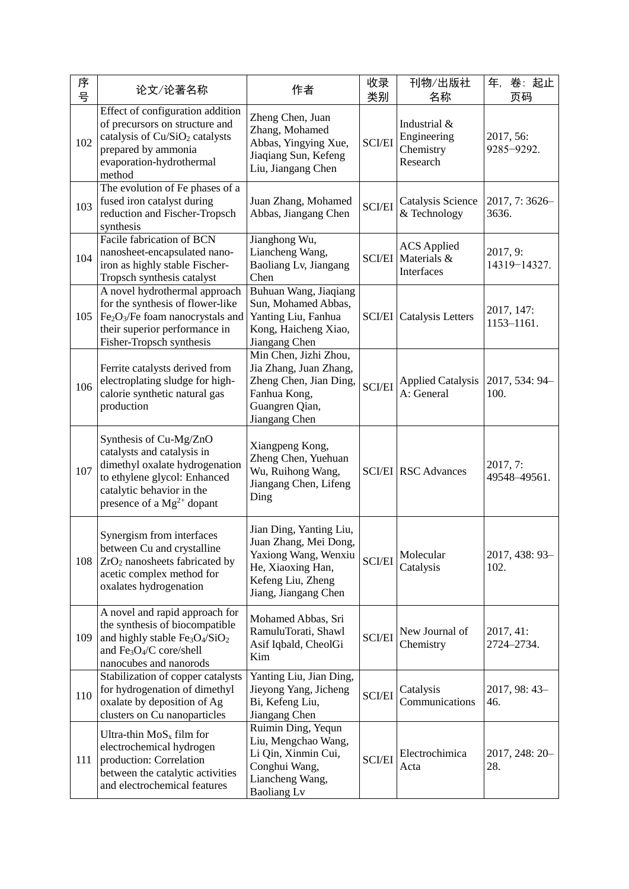| 序<br>号 | 论文/论著名称                                                                                                                                                                                                              | 作者                                                                                                                                         | 收录<br>类别      | 刊物/出版社<br>名称                                         | 卷:起止<br>年,<br>页码         |
|--------|----------------------------------------------------------------------------------------------------------------------------------------------------------------------------------------------------------------------|--------------------------------------------------------------------------------------------------------------------------------------------|---------------|------------------------------------------------------|--------------------------|
| 102    | Effect of configuration addition<br>of precursors on structure and<br>catalysis of Cu/SiO <sub>2</sub> catalysts<br>prepared by ammonia<br>evaporation-hydrothermal<br>method                                        | Zheng Chen, Juan<br>Zhang, Mohamed<br>Abbas, Yingying Xue,<br>Jiaqiang Sun, Kefeng<br>Liu, Jiangang Chen                                   | <b>SCI/EI</b> | Industrial &<br>Engineering<br>Chemistry<br>Research | 2017, 56:<br>9285-9292.  |
| 103    | The evolution of Fe phases of a<br>fused iron catalyst during<br>reduction and Fischer-Tropsch<br>synthesis                                                                                                          | Juan Zhang, Mohamed<br>Abbas, Jiangang Chen                                                                                                | <b>SCI/EI</b> | Catalysis Science<br>& Technology                    | 2017, 7:3626-<br>3636.   |
| 104    | Facile fabrication of BCN<br>nanosheet-encapsulated nano-<br>iron as highly stable Fischer-<br>Tropsch synthesis catalyst                                                                                            | Jianghong Wu,<br>Liancheng Wang,<br>Baoliang Lv, Jiangang<br>Chen                                                                          | <b>SCI/EI</b> | <b>ACS</b> Applied<br>Materials &<br>Interfaces      | 2017, 9:<br>14319-14327. |
| 105    | A novel hydrothermal approach<br>for the synthesis of flower-like<br>$Fe2O3/Fe$ foam nanocrystals and<br>their superior performance in<br>Fisher-Tropsch synthesis                                                   | Buhuan Wang, Jiaqiang<br>Sun, Mohamed Abbas,<br>Yanting Liu, Fanhua<br>Kong, Haicheng Xiao,<br>Jiangang Chen                               |               | <b>SCI/EI</b> Catalysis Letters                      | 2017, 147:<br>1153-1161. |
| 106    | Ferrite catalysts derived from<br>electroplating sludge for high-<br>calorie synthetic natural gas<br>production                                                                                                     | Min Chen, Jizhi Zhou,<br>Jia Zhang, Juan Zhang,<br>Zheng Chen, Jian Ding,<br>Fanhua Kong,<br>Guangren Qian,<br>Jiangang Chen               | <b>SCI/EI</b> | <b>Applied Catalysis</b><br>A: General               | 2017, 534: 94-<br>100.   |
| 107    | Synthesis of Cu-Mg/ZnO<br>catalysts and catalysis in<br>dimethyl oxalate hydrogenation<br>to ethylene glycol: Enhanced<br>catalytic behavior in the<br>presence of a $Mg^{2+}$ dopant                                | Xiangpeng Kong,<br>Zheng Chen, Yuehuan<br>Wu, Ruihong Wang,<br>Jiangang Chen, Lifeng<br>Ding                                               |               | <b>SCI/EI RSC Advances</b>                           | 2017, 7:<br>49548-49561. |
| 108    | Synergism from interfaces<br>between Cu and crystalline<br>$ZrO2$ nanosheets fabricated by<br>acetic complex method for<br>oxalates hydrogenation                                                                    | Jian Ding, Yanting Liu,<br>Juan Zhang, Mei Dong,<br>Yaxiong Wang, Wenxiu<br>He, Xiaoxing Han,<br>Kefeng Liu, Zheng<br>Jiang, Jiangang Chen | SCI/EI        | Molecular<br>Catalysis                               | 2017, 438: 93-<br>102.   |
| 109    | A novel and rapid approach for<br>the synthesis of biocompatible<br>and highly stable Fe <sub>3</sub> O <sub>4</sub> /SiO <sub>2</sub><br>and Fe <sub>3</sub> O <sub>4</sub> /C core/shell<br>nanocubes and nanorods | Mohamed Abbas, Sri<br>RamuluTorati, Shawl<br>Asif Iqbald, CheolGi<br>Kim                                                                   | <b>SCI/EI</b> | New Journal of<br>Chemistry                          | 2017, 41:<br>2724-2734.  |
| 110    | Stabilization of copper catalysts<br>for hydrogenation of dimethyl<br>oxalate by deposition of Ag<br>clusters on Cu nanoparticles                                                                                    | Yanting Liu, Jian Ding,<br>Jieyong Yang, Jicheng<br>Bi, Kefeng Liu,<br>Jiangang Chen                                                       | <b>SCI/EI</b> | Catalysis<br>Communications                          | 2017, 98: 43-<br>46.     |
| 111    | Ultra-thin $MoSx$ film for<br>electrochemical hydrogen<br>production: Correlation<br>between the catalytic activities<br>and electrochemical features                                                                | Ruimin Ding, Yequn<br>Liu, Mengchao Wang,<br>Li Qin, Xinmin Cui,<br>Conghui Wang,<br>Liancheng Wang,<br><b>Baoliang Lv</b>                 | <b>SCI/EI</b> | Electrochimica<br>Acta                               | 2017, 248: 20-<br>28.    |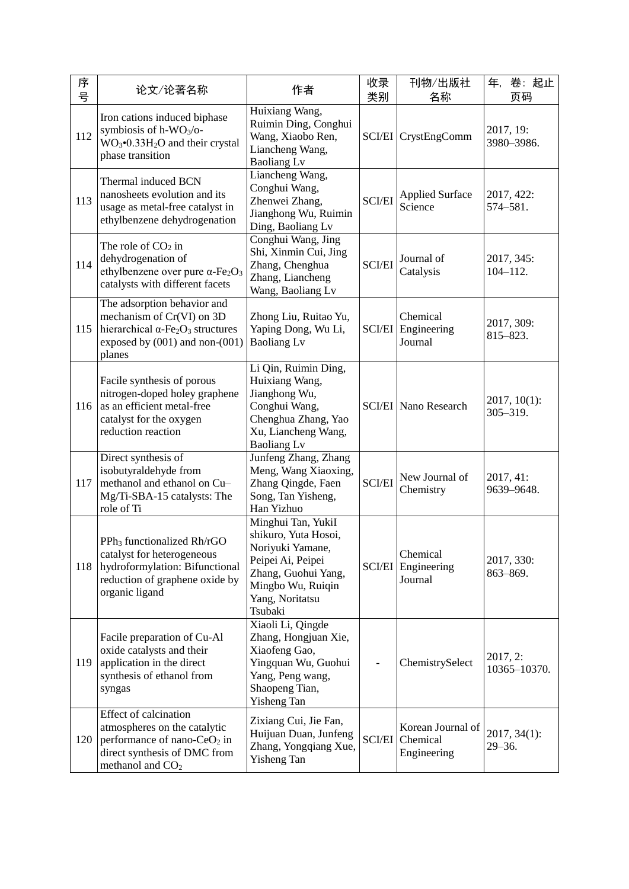| 序<br>号 | 论文/论著名称                                                                                                                                                                  | 作者                                                                                                                                                            | 收录<br>类别      | 刊物/出版社<br>名称                                     | 卷:起止<br>年,<br>页码                |
|--------|--------------------------------------------------------------------------------------------------------------------------------------------------------------------------|---------------------------------------------------------------------------------------------------------------------------------------------------------------|---------------|--------------------------------------------------|---------------------------------|
| 112    | Iron cations induced biphase<br>symbiosis of h-WO <sub>3</sub> /o-<br>$WO3$ <sup>-0</sup> .33H <sub>2</sub> O and their crystal<br>phase transition                      | Huixiang Wang,<br>Ruimin Ding, Conghui<br>Wang, Xiaobo Ren,<br>Liancheng Wang,<br><b>Baoliang Lv</b>                                                          |               | SCI/EI CrystEngComm                              | 2017, 19:<br>3980-3986.         |
| 113    | Thermal induced BCN<br>nanosheets evolution and its<br>usage as metal-free catalyst in<br>ethylbenzene dehydrogenation                                                   | Liancheng Wang,<br>Conghui Wang,<br>Zhenwei Zhang,<br>Jianghong Wu, Ruimin<br>Ding, Baoliang Lv                                                               | <b>SCI/EI</b> | <b>Applied Surface</b><br>Science                | 2017, 422:<br>574-581.          |
| 114    | The role of $CO2$ in<br>dehydrogenation of<br>ethylbenzene over pure $\alpha$ -Fe <sub>2</sub> O <sub>3</sub><br>catalysts with different facets                         | Conghui Wang, Jing<br>Shi, Xinmin Cui, Jing<br>Zhang, Chenghua<br>Zhang, Liancheng<br>Wang, Baoliang Lv                                                       | <b>SCI/EI</b> | Journal of<br>Catalysis                          | 2017, 345:<br>$104 - 112.$      |
| 115    | The adsorption behavior and<br>mechanism of Cr(VI) on 3D<br>hierarchical $\alpha$ -Fe <sub>2</sub> O <sub>3</sub> structures<br>exposed by (001) and non-(001)<br>planes | Zhong Liu, Ruitao Yu,<br>Yaping Dong, Wu Li,<br><b>Baoliang Lv</b>                                                                                            | <b>SCI/EI</b> | Chemical<br>Engineering<br>Journal               | 2017, 309:<br>815-823.          |
| 116    | Facile synthesis of porous<br>nitrogen-doped holey graphene<br>as an efficient metal-free<br>catalyst for the oxygen<br>reduction reaction                               | Li Qin, Ruimin Ding,<br>Huixiang Wang,<br>Jianghong Wu,<br>Conghui Wang,<br>Chenghua Zhang, Yao<br>Xu, Liancheng Wang,<br><b>Baoliang Lv</b>                  |               | <b>SCI/EI</b> Nano Research                      | $2017, 10(1)$ :<br>$305 - 319.$ |
| 117    | Direct synthesis of<br>isobutyraldehyde from<br>methanol and ethanol on Cu-<br>Mg/Ti-SBA-15 catalysts: The<br>role of Ti                                                 | Junfeng Zhang, Zhang<br>Meng, Wang Xiaoxing,<br>Zhang Qingde, Faen<br>Song, Tan Yisheng,<br>Han Yizhuo                                                        | <b>SCI/EI</b> | New Journal of<br>Chemistry                      | 2017, 41:<br>9639-9648.         |
| 118    | PPh <sub>3</sub> functionalized Rh/rGO<br>catalyst for heterogeneous<br>hydroformylation: Bifunctional<br>reduction of graphene oxide by<br>organic ligand               | Minghui Tan, YukiI<br>shikuro, Yuta Hosoi,<br>Noriyuki Yamane,<br>Peipei Ai, Peipei<br>Zhang, Guohui Yang,<br>Mingbo Wu, Ruiqin<br>Yang, Noritatsu<br>Tsubaki |               | Chemical<br><b>SCI/EI</b> Engineering<br>Journal | 2017, 330:<br>863-869.          |
| 119    | Facile preparation of Cu-Al<br>oxide catalysts and their<br>application in the direct<br>synthesis of ethanol from<br>syngas                                             | Xiaoli Li, Qingde<br>Zhang, Hongjuan Xie,<br>Xiaofeng Gao,<br>Yingquan Wu, Guohui<br>Yang, Peng wang,<br>Shaopeng Tian,<br>Yisheng Tan                        |               | ChemistrySelect                                  | 2017, 2:<br>10365-10370.        |
| 120    | Effect of calcination<br>atmospheres on the catalytic<br>performance of nano-CeO <sub>2</sub> in<br>direct synthesis of DMC from<br>methanol and $CO2$                   | Zixiang Cui, Jie Fan,<br>Huijuan Duan, Junfeng<br>Zhang, Yongqiang Xue,<br><b>Yisheng Tan</b>                                                                 | <b>SCI/EI</b> | Korean Journal of<br>Chemical<br>Engineering     | $2017, 34(1)$ :<br>$29 - 36.$   |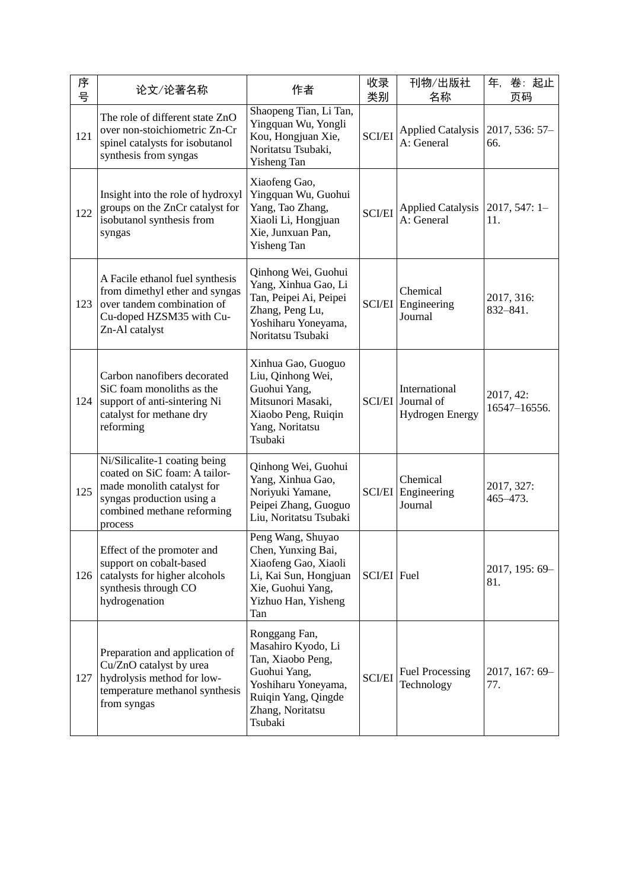| 序<br>号 | 论文/论著名称                                                                                                                                                            | 作者                                                                                                                                                    | 收录<br>类别      | 刊物/出版社<br>名称                                                 | 卷:起止<br>年,<br>页码          |
|--------|--------------------------------------------------------------------------------------------------------------------------------------------------------------------|-------------------------------------------------------------------------------------------------------------------------------------------------------|---------------|--------------------------------------------------------------|---------------------------|
| 121    | The role of different state ZnO<br>over non-stoichiometric Zn-Cr<br>spinel catalysts for isobutanol<br>synthesis from syngas                                       | Shaopeng Tian, Li Tan,<br>Yingquan Wu, Yongli<br>Kou, Hongjuan Xie,<br>Noritatsu Tsubaki,<br>Yisheng Tan                                              | <b>SCI/EI</b> | <b>Applied Catalysis</b><br>A: General                       | 2017, 536: 57-<br>66.     |
| 122    | Insight into the role of hydroxyl<br>groups on the ZnCr catalyst for<br>isobutanol synthesis from<br>syngas                                                        | Xiaofeng Gao,<br>Yingquan Wu, Guohui<br>Yang, Tao Zhang,<br>Xiaoli Li, Hongjuan<br>Xie, Junxuan Pan,<br>Yisheng Tan                                   | <b>SCI/EI</b> | <b>Applied Catalysis</b><br>A: General                       | $2017, 547: 1 -$<br>11.   |
| 123    | A Facile ethanol fuel synthesis<br>from dimethyl ether and syngas<br>over tandem combination of<br>Cu-doped HZSM35 with Cu-<br>Zn-Al catalyst                      | Qinhong Wei, Guohui<br>Yang, Xinhua Gao, Li<br>Tan, Peipei Ai, Peipei<br>Zhang, Peng Lu,<br>Yoshiharu Yoneyama,<br>Noritatsu Tsubaki                  | <b>SCI/EI</b> | Chemical<br>Engineering<br>Journal                           | 2017, 316:<br>832-841.    |
| 124    | Carbon nanofibers decorated<br>SiC foam monoliths as the<br>support of anti-sintering Ni<br>catalyst for methane dry<br>reforming                                  | Xinhua Gao, Guoguo<br>Liu, Qinhong Wei,<br>Guohui Yang,<br>Mitsunori Masaki,<br>Xiaobo Peng, Ruiqin<br>Yang, Noritatsu<br>Tsubaki                     |               | International<br>SCI/EI Journal of<br><b>Hydrogen Energy</b> | 2017, 42:<br>16547-16556. |
| 125    | Ni/Silicalite-1 coating being<br>coated on SiC foam: A tailor-<br>made monolith catalyst for<br>syngas production using a<br>combined methane reforming<br>process | Qinhong Wei, Guohui<br>Yang, Xinhua Gao,<br>Noriyuki Yamane,<br>Peipei Zhang, Guoguo<br>Liu, Noritatsu Tsubaki                                        | <b>SCI/EI</b> | Chemical<br>Engineering<br>Journal                           | 2017, 327:<br>465-473.    |
| 126    | Effect of the promoter and<br>support on cobalt-based<br>catalysts for higher alcohols<br>synthesis through CO<br>hydrogenation                                    | Peng Wang, Shuyao<br>Chen, Yunxing Bai,<br>Xiaofeng Gao, Xiaoli<br>Li, Kai Sun, Hongjuan<br>Xie, Guohui Yang,<br>Yizhuo Han, Yisheng<br>Tan           | SCI/EI Fuel   |                                                              | 2017, 195: 69-<br>81.     |
| 127    | Preparation and application of<br>Cu/ZnO catalyst by urea<br>hydrolysis method for low-<br>temperature methanol synthesis<br>from syngas                           | Ronggang Fan,<br>Masahiro Kyodo, Li<br>Tan, Xiaobo Peng,<br>Guohui Yang,<br>Yoshiharu Yoneyama,<br>Ruiqin Yang, Qingde<br>Zhang, Noritatsu<br>Tsubaki | <b>SCI/EI</b> | <b>Fuel Processing</b><br>Technology                         | 2017, 167: 69-<br>77.     |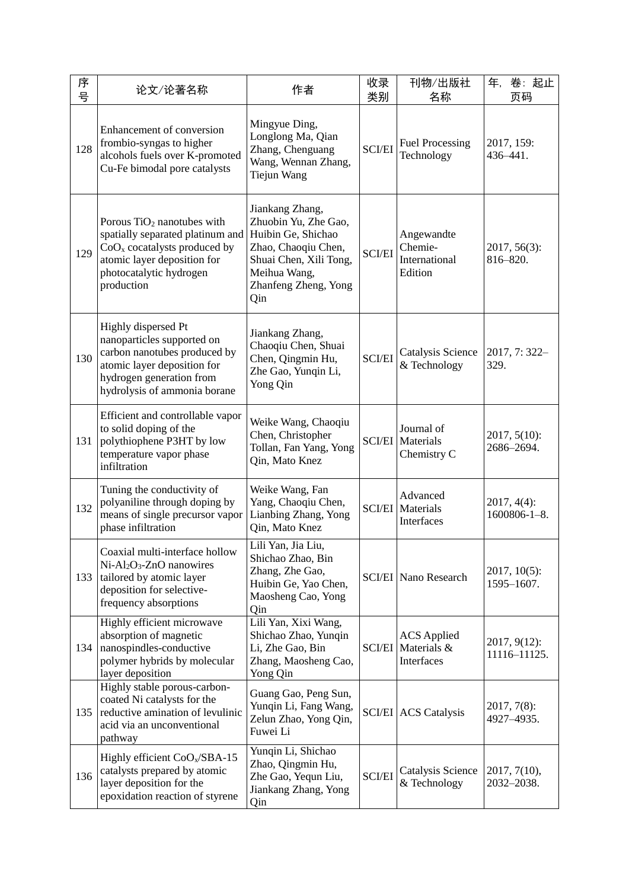| 序<br>뮹 | 论文/论著名称                                                                                                                                                                              | 作者                                                                                                                                                            | 收录<br>类别      | 刊物/出版社<br>名称                                         | 卷:起止<br>年,<br>页码                     |
|--------|--------------------------------------------------------------------------------------------------------------------------------------------------------------------------------------|---------------------------------------------------------------------------------------------------------------------------------------------------------------|---------------|------------------------------------------------------|--------------------------------------|
| 128    | Enhancement of conversion<br>frombio-syngas to higher<br>alcohols fuels over K-promoted<br>Cu-Fe bimodal pore catalysts                                                              | Mingyue Ding,<br>Longlong Ma, Qian<br>Zhang, Chenguang<br>Wang, Wennan Zhang,<br>Tiejun Wang                                                                  | <b>SCI/EI</b> | <b>Fuel Processing</b><br>Technology                 | 2017, 159:<br>436-441.               |
| 129    | Porous TiO <sub>2</sub> nanotubes with<br>spatially separated platinum and<br>$CoOx$ cocatalysts produced by<br>atomic layer deposition for<br>photocatalytic hydrogen<br>production | Jiankang Zhang,<br>Zhuobin Yu, Zhe Gao,<br>Huibin Ge, Shichao<br>Zhao, Chaoqiu Chen,<br>Shuai Chen, Xili Tong,<br>Meihua Wang,<br>Zhanfeng Zheng, Yong<br>Qin | <b>SCI/EI</b> | Angewandte<br>Chemie-<br>International<br>Edition    | $2017, 56(3)$ :<br>816-820.          |
| 130    | Highly dispersed Pt<br>nanoparticles supported on<br>carbon nanotubes produced by<br>atomic layer deposition for<br>hydrogen generation from<br>hydrolysis of ammonia borane         | Jiankang Zhang,<br>Chaoqiu Chen, Shuai<br>Chen, Qingmin Hu,<br>Zhe Gao, Yunqin Li,<br>Yong Qin                                                                | <b>SCI/EI</b> | Catalysis Science<br>& Technology                    | 2017, 7:322-<br>329.                 |
| 131    | Efficient and controllable vapor<br>to solid doping of the<br>polythiophene P3HT by low<br>temperature vapor phase<br>infiltration                                                   | Weike Wang, Chaoqiu<br>Chen, Christopher<br>Tollan, Fan Yang, Yong<br>Qin, Mato Knez                                                                          |               | Journal of<br><b>SCI/EI</b> Materials<br>Chemistry C | $2017, 5(10)$ :<br>2686-2694.        |
| 132    | Tuning the conductivity of<br>polyaniline through doping by<br>means of single precursor vapor<br>phase infiltration                                                                 | Weike Wang, Fan<br>Yang, Chaoqiu Chen,<br>Lianbing Zhang, Yong<br>Qin, Mato Knez                                                                              |               | Advanced<br><b>SCI/EI</b> Materials<br>Interfaces    | $2017, 4(4)$ :<br>$1600806 - 1 - 8.$ |
| 133    | Coaxial multi-interface hollow<br>$Ni-Al2O3-ZnO$ nanowires<br>tailored by atomic layer<br>deposition for selective-<br>frequency absorptions                                         | Lili Yan, Jia Liu,<br>Shichao Zhao, Bin<br>Zhang, Zhe Gao,<br>Huibin Ge, Yao Chen,<br>Maosheng Cao, Yong<br>Qin                                               |               | <b>SCI/EI</b> Nano Research                          | $2017, 10(5)$ :<br>1595-1607.        |
| 134    | Highly efficient microwave<br>absorption of magnetic<br>nanospindles-conductive<br>polymer hybrids by molecular<br>layer deposition                                                  | Lili Yan, Xixi Wang,<br>Shichao Zhao, Yunqin<br>Li, Zhe Gao, Bin<br>Zhang, Maosheng Cao,<br>Yong Qin                                                          | <b>SCI/EI</b> | <b>ACS</b> Applied<br>Materials &<br>Interfaces      | $2017, 9(12)$ :<br>11116-11125.      |
| 135    | Highly stable porous-carbon-<br>coated Ni catalysts for the<br>reductive amination of levulinic<br>acid via an unconventional<br>pathway                                             | Guang Gao, Peng Sun,<br>Yunqin Li, Fang Wang,<br>Zelun Zhao, Yong Qin,<br>Fuwei Li                                                                            |               | <b>SCI/EI</b> ACS Catalysis                          | $2017, 7(8)$ :<br>4927-4935.         |
| 136    | Highly efficient $CoO_x/SBA-15$<br>catalysts prepared by atomic<br>layer deposition for the<br>epoxidation reaction of styrene                                                       | Yunqin Li, Shichao<br>Zhao, Qingmin Hu,<br>Zhe Gao, Yequn Liu,<br>Jiankang Zhang, Yong<br>Qin                                                                 | <b>SCI/EI</b> | Catalysis Science<br>& Technology                    | 2017, 7(10),<br>2032-2038.           |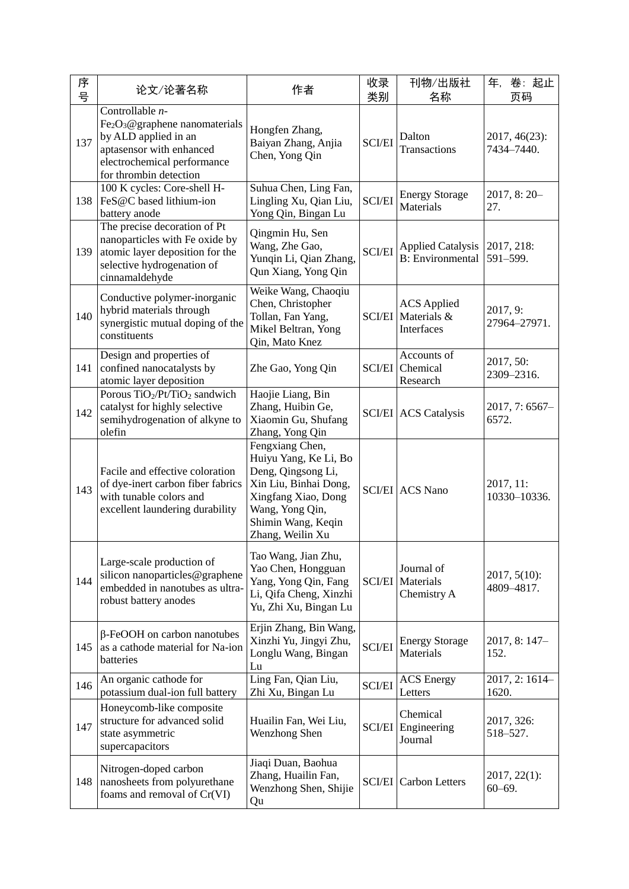| 序<br>号 | 论文/论著名称                                                                                                                                                         | 作者                                                                                                                                                                          | 收录<br>类别      | 刊物/出版社<br>名称                                           | 卷:起止<br>年,<br>页码              |
|--------|-----------------------------------------------------------------------------------------------------------------------------------------------------------------|-----------------------------------------------------------------------------------------------------------------------------------------------------------------------------|---------------|--------------------------------------------------------|-------------------------------|
| 137    | Controllable n-<br>$Fe2O3$ @graphene nanomaterials<br>by ALD applied in an<br>aptasensor with enhanced<br>electrochemical performance<br>for thrombin detection | Hongfen Zhang,<br>Baiyan Zhang, Anjia<br>Chen, Yong Qin                                                                                                                     | <b>SCI/EI</b> | Dalton<br>Transactions                                 | 2017, 46(23):<br>7434-7440.   |
| 138    | 100 K cycles: Core-shell H-<br>FeS@C based lithium-ion<br>battery anode                                                                                         | Suhua Chen, Ling Fan,<br>Lingling Xu, Qian Liu,<br>Yong Qin, Bingan Lu                                                                                                      | <b>SCI/EI</b> | <b>Energy Storage</b><br>Materials                     | $2017, 8:20-$<br>27.          |
| 139    | The precise decoration of Pt<br>nanoparticles with Fe oxide by<br>atomic layer deposition for the<br>selective hydrogenation of<br>cinnamaldehyde               | Qingmin Hu, Sen<br>Wang, Zhe Gao,<br>Yunqin Li, Qian Zhang,<br>Qun Xiang, Yong Qin                                                                                          | <b>SCI/EI</b> | <b>Applied Catalysis</b><br><b>B</b> : Environmental   | 2017, 218:<br>591-599.        |
| 140    | Conductive polymer-inorganic<br>hybrid materials through<br>synergistic mutual doping of the<br>constituents                                                    | Weike Wang, Chaoqiu<br>Chen, Christopher<br>Tollan, Fan Yang,<br>Mikel Beltran, Yong<br>Qin, Mato Knez                                                                      |               | <b>ACS</b> Applied<br>SCI/EI Materials &<br>Interfaces | 2017, 9:<br>27964-27971.      |
| 141    | Design and properties of<br>confined nanocatalysts by<br>atomic layer deposition                                                                                | Zhe Gao, Yong Qin                                                                                                                                                           | <b>SCI/EI</b> | Accounts of<br>Chemical<br>Research                    | 2017, 50:<br>2309-2316.       |
| 142    | Porous TiO <sub>2</sub> /Pt/TiO <sub>2</sub> sandwich<br>catalyst for highly selective<br>semihydrogenation of alkyne to<br>olefin                              | Haojie Liang, Bin<br>Zhang, Huibin Ge,<br>Xiaomin Gu, Shufang<br>Zhang, Yong Qin                                                                                            |               | <b>SCI/EI</b> ACS Catalysis                            | $2017, 7:6567-$<br>6572.      |
| 143    | Facile and effective coloration<br>of dye-inert carbon fiber fabrics<br>with tunable colors and<br>excellent laundering durability                              | Fengxiang Chen,<br>Huiyu Yang, Ke Li, Bo<br>Deng, Qingsong Li,<br>Xin Liu, Binhai Dong,<br>Xingfang Xiao, Dong<br>Wang, Yong Qin,<br>Shimin Wang, Keqin<br>Zhang, Weilin Xu |               | <b>SCI/EI</b> ACS Nano                                 | 2017, 11:<br>10330-10336.     |
| 144    | Large-scale production of<br>silicon nanoparticles@graphene<br>embedded in nanotubes as ultra-<br>robust battery anodes                                         | Tao Wang, Jian Zhu,<br>Yao Chen, Hongguan<br>Yang, Yong Qin, Fang<br>Li, Qifa Cheng, Xinzhi<br>Yu, Zhi Xu, Bingan Lu                                                        |               | Journal of<br><b>SCI/EI</b> Materials<br>Chemistry A   | $2017, 5(10)$ :<br>4809-4817. |
| 145    | $\beta$ -FeOOH on carbon nanotubes<br>as a cathode material for Na-ion<br>batteries                                                                             | Erjin Zhang, Bin Wang,<br>Xinzhi Yu, Jingyi Zhu,<br>Longlu Wang, Bingan<br>Lu                                                                                               | <b>SCI/EI</b> | <b>Energy Storage</b><br>Materials                     | 2017, 8: 147-<br>152.         |
| 146    | An organic cathode for<br>potassium dual-ion full battery                                                                                                       | Ling Fan, Qian Liu,<br>Zhi Xu, Bingan Lu                                                                                                                                    | <b>SCI/EI</b> | <b>ACS</b> Energy<br>Letters                           | 2017, 2: 1614-<br>1620.       |
| 147    | Honeycomb-like composite<br>structure for advanced solid<br>state asymmetric<br>supercapacitors                                                                 | Huailin Fan, Wei Liu,<br>Wenzhong Shen                                                                                                                                      |               | Chemical<br><b>SCI/EI</b> Engineering<br>Journal       | 2017, 326:<br>518-527.        |
| 148    | Nitrogen-doped carbon<br>nanosheets from polyurethane<br>foams and removal of Cr(VI)                                                                            | Jiaqi Duan, Baohua<br>Zhang, Huailin Fan,<br>Wenzhong Shen, Shijie<br>Qu                                                                                                    | <b>SCI/EI</b> | <b>Carbon Letters</b>                                  | $2017, 22(1)$ :<br>$60 - 69.$ |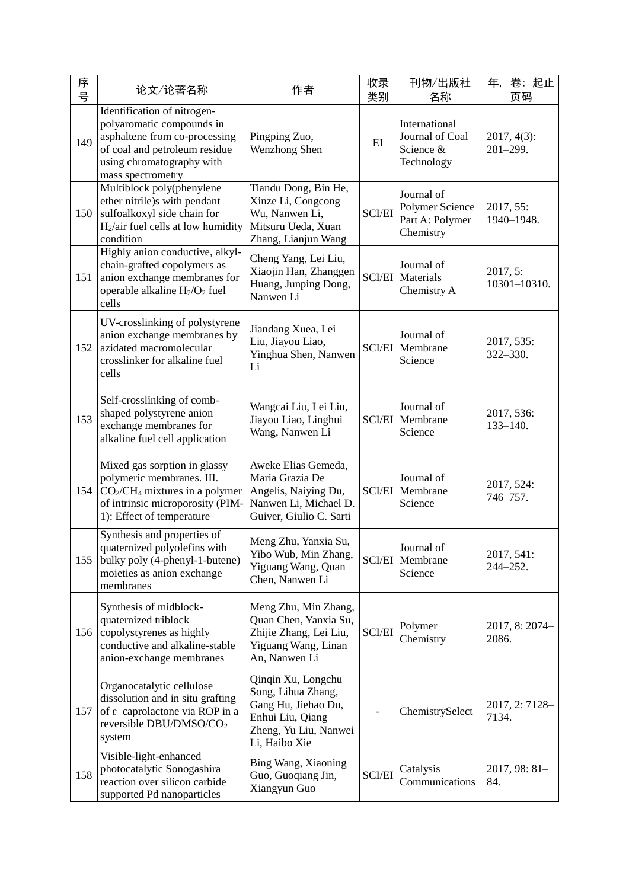| 序<br>뮥 | 论文/论著名称                                                                                                                                                                      | 作者                                                                                                                            | 收录<br>类别      | 刊物/出版社<br>名称                                                  | 卷:起止<br>年,<br>页码               |
|--------|------------------------------------------------------------------------------------------------------------------------------------------------------------------------------|-------------------------------------------------------------------------------------------------------------------------------|---------------|---------------------------------------------------------------|--------------------------------|
| 149    | Identification of nitrogen-<br>polyaromatic compounds in<br>asphaltene from co-processing<br>of coal and petroleum residue<br>using chromatography with<br>mass spectrometry | Pingping Zuo,<br>Wenzhong Shen                                                                                                | EI            | International<br>Journal of Coal<br>Science &<br>Technology   | $2017, 4(3)$ :<br>$281 - 299.$ |
| 150    | Multiblock poly(phenylene<br>ether nitrile)s with pendant<br>sulfoalkoxyl side chain for<br>$H2/air$ fuel cells at low humidity<br>condition                                 | Tiandu Dong, Bin He,<br>Xinze Li, Congcong<br>Wu, Nanwen Li,<br>Mitsuru Ueda, Xuan<br>Zhang, Lianjun Wang                     | <b>SCI/EI</b> | Journal of<br>Polymer Science<br>Part A: Polymer<br>Chemistry | 2017, 55:<br>1940-1948.        |
| 151    | Highly anion conductive, alkyl-<br>chain-grafted copolymers as<br>anion exchange membranes for<br>operable alkaline $H_2/O_2$ fuel<br>cells                                  | Cheng Yang, Lei Liu,<br>Xiaojin Han, Zhanggen<br>Huang, Junping Dong,<br>Nanwen Li                                            |               | Journal of<br><b>SCI/EI</b> Materials<br>Chemistry A          | 2017, 5:<br>10301-10310.       |
| 152    | UV-crosslinking of polystyrene<br>anion exchange membranes by<br>azidated macromolecular<br>crosslinker for alkaline fuel<br>cells                                           | Jiandang Xuea, Lei<br>Liu, Jiayou Liao,<br>Yinghua Shen, Nanwen<br>Li                                                         | <b>SCI/EI</b> | Journal of<br>Membrane<br>Science                             | 2017, 535:<br>322-330.         |
| 153    | Self-crosslinking of comb-<br>shaped polystyrene anion<br>exchange membranes for<br>alkaline fuel cell application                                                           | Wangcai Liu, Lei Liu,<br>Jiayou Liao, Linghui<br>Wang, Nanwen Li                                                              |               | Journal of<br><b>SCI/EI</b> Membrane<br>Science               | 2017, 536:<br>$133 - 140.$     |
| 154    | Mixed gas sorption in glassy<br>polymeric membranes. III.<br>$CO2/CH4$ mixtures in a polymer<br>of intrinsic microporosity (PIM-<br>1): Effect of temperature                | Aweke Elias Gemeda,<br>Maria Grazia De<br>Angelis, Naiying Du,<br>Nanwen Li, Michael D.<br>Guiver, Giulio C. Sarti            |               | Journal of<br><b>SCI/EI</b> Membrane<br>Science               | 2017, 524:<br>746-757.         |
| 155    | Synthesis and properties of<br>quaternized polyolefins with<br>bulky poly (4-phenyl-1-butene)<br>moieties as anion exchange<br>membranes                                     | Meng Zhu, Yanxia Su,<br>Yibo Wub, Min Zhang,<br>Yiguang Wang, Quan<br>Chen, Nanwen Li                                         |               | Journal of<br><b>SCI/EI</b> Membrane<br>Science               | 2017, 541:<br>$244 - 252.$     |
| 156    | Synthesis of midblock-<br>quaternized triblock<br>copolystyrenes as highly<br>conductive and alkaline-stable<br>anion-exchange membranes                                     | Meng Zhu, Min Zhang,<br>Quan Chen, Yanxia Su,<br>Zhijie Zhang, Lei Liu,<br>Yiguang Wang, Linan<br>An, Nanwen Li               | <b>SCI/EI</b> | Polymer<br>Chemistry                                          | 2017, 8: 2074-<br>2086.        |
| 157    | Organocatalytic cellulose<br>dissolution and in situ grafting<br>of ε-caprolactone via ROP in a<br>reversible DBU/DMSO/CO <sub>2</sub><br>system                             | Qinqin Xu, Longchu<br>Song, Lihua Zhang,<br>Gang Hu, Jiehao Du,<br>Enhui Liu, Qiang<br>Zheng, Yu Liu, Nanwei<br>Li, Haibo Xie |               | ChemistrySelect                                               | 2017, 2:7128-<br>7134.         |
| 158    | Visible-light-enhanced<br>photocatalytic Sonogashira<br>reaction over silicon carbide<br>supported Pd nanoparticles                                                          | Bing Wang, Xiaoning<br>Guo, Guoqiang Jin,<br>Xiangyun Guo                                                                     | <b>SCI/EI</b> | Catalysis<br>Communications                                   | $2017, 98: 81 -$<br>84.        |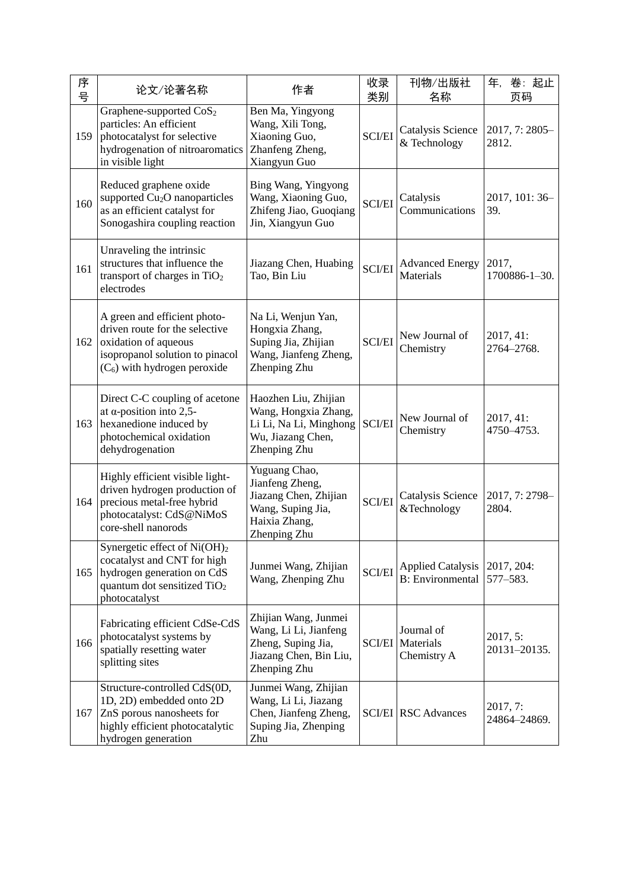| 序<br>号 | 论文/论著名称                                                                                                                                                           | 作者                                                                                                              | 收录<br>类别      | 刊物/出版社<br>名称                                         | 卷:起止<br>年,<br>页码         |
|--------|-------------------------------------------------------------------------------------------------------------------------------------------------------------------|-----------------------------------------------------------------------------------------------------------------|---------------|------------------------------------------------------|--------------------------|
| 159    | Graphene-supported CoS <sub>2</sub><br>particles: An efficient<br>photocatalyst for selective<br>hydrogenation of nitroaromatics<br>in visible light              | Ben Ma, Yingyong<br>Wang, Xili Tong,<br>Xiaoning Guo,<br>Zhanfeng Zheng,<br>Xiangyun Guo                        | <b>SCI/EI</b> | Catalysis Science<br>& Technology                    | 2017, 7: 2805-<br>2812.  |
| 160    | Reduced graphene oxide<br>supported Cu <sub>2</sub> O nanoparticles<br>as an efficient catalyst for<br>Sonogashira coupling reaction                              | Bing Wang, Yingyong<br>Wang, Xiaoning Guo,<br>Zhifeng Jiao, Guoqiang<br>Jin, Xiangyun Guo                       | <b>SCI/EI</b> | Catalysis<br>Communications                          | 2017, 101: 36-<br>39.    |
| 161    | Unraveling the intrinsic<br>structures that influence the<br>transport of charges in $TiO2$<br>electrodes                                                         | Jiazang Chen, Huabing<br>Tao, Bin Liu                                                                           | <b>SCI/EI</b> | <b>Advanced Energy</b><br>Materials                  | 2017,<br>1700886-1-30.   |
| 162    | A green and efficient photo-<br>driven route for the selective<br>oxidation of aqueous<br>isopropanol solution to pinacol<br>$(C_6)$ with hydrogen peroxide       | Na Li, Wenjun Yan,<br>Hongxia Zhang,<br>Suping Jia, Zhijian<br>Wang, Jianfeng Zheng,<br>Zhenping Zhu            | <b>SCI/EI</b> | New Journal of<br>Chemistry                          | 2017, 41:<br>2764-2768.  |
| 163    | Direct C-C coupling of acetone<br>at $\alpha$ -position into 2,5-<br>hexanedione induced by<br>photochemical oxidation<br>dehydrogenation                         | Haozhen Liu, Zhijian<br>Wang, Hongxia Zhang,<br>Li Li, Na Li, Minghong<br>Wu, Jiazang Chen,<br>Zhenping Zhu     | <b>SCI/EI</b> | New Journal of<br>Chemistry                          | 2017, 41:<br>4750-4753.  |
| 164    | Highly efficient visible light-<br>driven hydrogen production of<br>precious metal-free hybrid<br>photocatalyst: CdS@NiMoS<br>core-shell nanorods                 | Yuguang Chao,<br>Jianfeng Zheng,<br>Jiazang Chen, Zhijian<br>Wang, Suping Jia,<br>Haixia Zhang,<br>Zhenping Zhu | <b>SCI/EI</b> | Catalysis Science<br>&Technology                     | 2017, 7: 2798-<br>2804.  |
| 165    | Synergetic effect of Ni(OH) <sub>2</sub><br>cocatalyst and CNT for high<br>hydrogen generation on CdS<br>quantum dot sensitized TiO <sub>2</sub><br>photocatalyst | Junmei Wang, Zhijian<br>Wang, Zhenping Zhu                                                                      | <b>SCI/EI</b> | <b>Applied Catalysis</b><br><b>B</b> : Environmental | 2017, 204:<br>577-583.   |
| 166    | Fabricating efficient CdSe-CdS<br>photocatalyst systems by<br>spatially resetting water<br>splitting sites                                                        | Zhijian Wang, Junmei<br>Wang, Li Li, Jianfeng<br>Zheng, Suping Jia,<br>Jiazang Chen, Bin Liu,<br>Zhenping Zhu   | <b>SCI/EI</b> | Journal of<br>Materials<br>Chemistry A               | 2017, 5:<br>20131-20135. |
| 167    | Structure-controlled CdS(0D,<br>1D, 2D) embedded onto 2D<br>ZnS porous nanosheets for<br>highly efficient photocatalytic<br>hydrogen generation                   | Junmei Wang, Zhijian<br>Wang, Li Li, Jiazang<br>Chen, Jianfeng Zheng,<br>Suping Jia, Zhenping<br>Zhu            |               | <b>SCI/EI</b> RSC Advances                           | 2017, 7:<br>24864-24869. |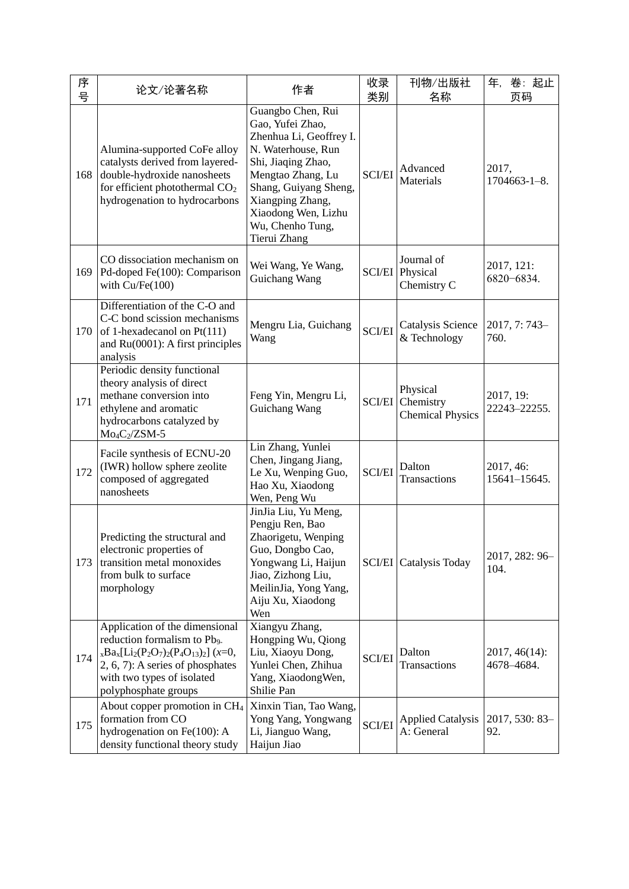| 序<br>号 | 论文/论著名称                                                                                                                                                                                                                               | 作者                                                                                                                                                                                                                                        | 收录<br>类别      | 刊物/出版社<br>名称                                     | 年,<br>卷:起止<br>页码             |
|--------|---------------------------------------------------------------------------------------------------------------------------------------------------------------------------------------------------------------------------------------|-------------------------------------------------------------------------------------------------------------------------------------------------------------------------------------------------------------------------------------------|---------------|--------------------------------------------------|------------------------------|
| 168    | Alumina-supported CoFe alloy<br>catalysts derived from layered-<br>double-hydroxide nanosheets<br>for efficient photothermal CO <sub>2</sub><br>hydrogenation to hydrocarbons                                                         | Guangbo Chen, Rui<br>Gao, Yufei Zhao,<br>Zhenhua Li, Geoffrey I.<br>N. Waterhouse, Run<br>Shi, Jiaqing Zhao,<br>Mengtao Zhang, Lu<br>Shang, Guiyang Sheng,<br>Xiangping Zhang,<br>Xiaodong Wen, Lizhu<br>Wu, Chenho Tung,<br>Tierui Zhang | <b>SCI/EI</b> | Advanced<br>Materials                            | 2017,<br>$1704663 - 1 - 8$ . |
| 169    | CO dissociation mechanism on<br>Pd-doped Fe(100): Comparison<br>with $Cu/Fe(100)$                                                                                                                                                     | Wei Wang, Ye Wang,<br>Guichang Wang                                                                                                                                                                                                       | <b>SCI/EI</b> | Journal of<br>Physical<br>Chemistry C            | 2017, 121:<br>6820-6834.     |
| 170    | Differentiation of the C-O and<br>C-C bond scission mechanisms<br>of 1-hexadecanol on Pt(111)<br>and Ru(0001): A first principles<br>analysis                                                                                         | Mengru Lia, Guichang<br>Wang                                                                                                                                                                                                              | <b>SCI/EI</b> | Catalysis Science<br>& Technology                | 2017, 7: 743-<br>760.        |
| 171    | Periodic density functional<br>theory analysis of direct<br>methane conversion into<br>ethylene and aromatic<br>hydrocarbons catalyzed by<br>Mo <sub>4</sub> C <sub>2</sub> /ZSM-5                                                    | Feng Yin, Mengru Li,<br>Guichang Wang                                                                                                                                                                                                     | <b>SCI/EI</b> | Physical<br>Chemistry<br><b>Chemical Physics</b> | 2017, 19:<br>22243-22255.    |
| 172    | Facile synthesis of ECNU-20<br>(IWR) hollow sphere zeolite<br>composed of aggregated<br>nanosheets                                                                                                                                    | Lin Zhang, Yunlei<br>Chen, Jingang Jiang,<br>Le Xu, Wenping Guo,<br>Hao Xu, Xiaodong<br>Wen, Peng Wu                                                                                                                                      | <b>SCI/EI</b> | Dalton<br>Transactions                           | 2017, 46:<br>15641-15645.    |
| 173    | Predicting the structural and<br>electronic properties of<br>transition metal monoxides<br>from bulk to surface<br>morphology                                                                                                         | JinJia Liu, Yu Meng,<br>Pengju Ren, Bao<br>Zhaorigetu, Wenping<br>Guo, Dongbo Cao,<br>Yongwang Li, Haijun<br>Jiao, Zizhong Liu,<br>MeilinJia, Yong Yang,<br>Aiju Xu, Xiaodong<br>Wen                                                      | <b>SCI/EI</b> | Catalysis Today                                  | 2017, 282: 96-<br>104.       |
| 174    | Application of the dimensional<br>reduction formalism to Pb <sub>9</sub> .<br>$_{x}Ba_{x}[Li_{2}(P_{2}O_{7})_{2}(P_{4}O_{13})_{2}]$ (x=0,<br>$2, 6, 7$ : A series of phosphates<br>with two types of isolated<br>polyphosphate groups | Xiangyu Zhang,<br>Hongping Wu, Qiong<br>Liu, Xiaoyu Dong,<br>Yunlei Chen, Zhihua<br>Yang, XiaodongWen,<br>Shilie Pan                                                                                                                      | <b>SCI/EI</b> | Dalton<br>Transactions                           | 2017, 46(14):<br>4678-4684.  |
| 175    | About copper promotion in CH <sub>4</sub><br>formation from CO<br>hydrogenation on Fe(100): A<br>density functional theory study                                                                                                      | Xinxin Tian, Tao Wang,<br>Yong Yang, Yongwang<br>Li, Jianguo Wang,<br>Haijun Jiao                                                                                                                                                         | <b>SCI/EI</b> | <b>Applied Catalysis</b><br>A: General           | 2017, 530: 83-<br>92.        |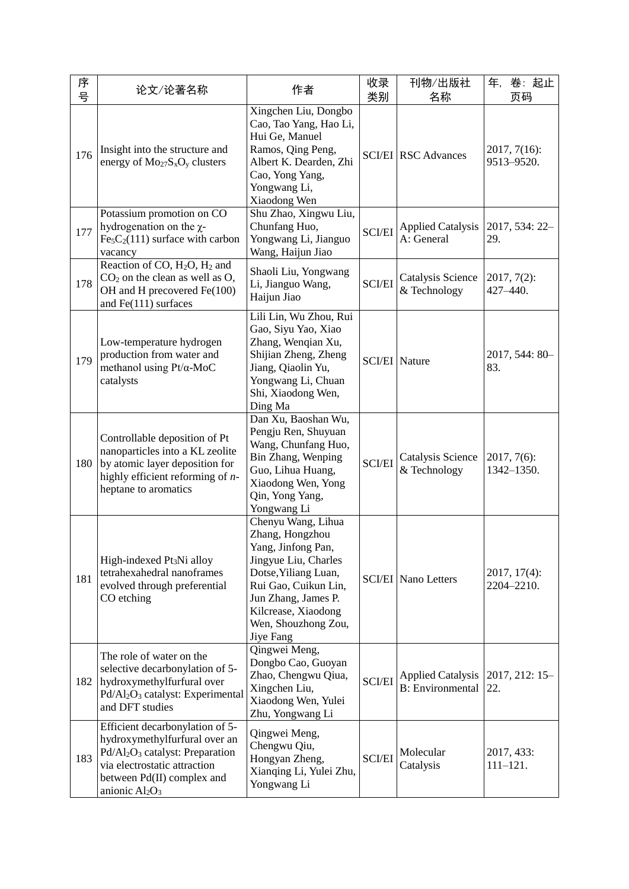| 序<br>号 | 论文/论著名称                                                                                                                                                                                                        | 作者                                                                                                                                                                                                                    | 收录<br>类别      | 刊物/出版社<br>名称                                         | 卷:起止<br>年,<br>页码              |
|--------|----------------------------------------------------------------------------------------------------------------------------------------------------------------------------------------------------------------|-----------------------------------------------------------------------------------------------------------------------------------------------------------------------------------------------------------------------|---------------|------------------------------------------------------|-------------------------------|
| 176    | Insight into the structure and<br>energy of $Mo_{27}S_xO_y$ clusters                                                                                                                                           | Xingchen Liu, Dongbo<br>Cao, Tao Yang, Hao Li,<br>Hui Ge, Manuel<br>Ramos, Qing Peng,<br>Albert K. Dearden, Zhi<br>Cao, Yong Yang,<br>Yongwang Li,<br>Xiaodong Wen                                                    |               | <b>SCI/EI</b> RSC Advances                           | $2017, 7(16)$ :<br>9513-9520. |
| 177    | Potassium promotion on CO<br>hydrogenation on the $\chi$ -<br>$Fe5C2(111)$ surface with carbon<br>vacancy                                                                                                      | Shu Zhao, Xingwu Liu,<br>Chunfang Huo,<br>Yongwang Li, Jianguo<br>Wang, Haijun Jiao                                                                                                                                   | <b>SCI/EI</b> | <b>Applied Catalysis</b><br>A: General               | 2017, 534: 22-<br>29.         |
| 178    | Reaction of CO, $H_2O$ , $H_2$ and<br>$CO2$ on the clean as well as $O$ ,<br>OH and H precovered Fe(100)<br>and $Fe(111)$ surfaces                                                                             | Shaoli Liu, Yongwang<br>Li, Jianguo Wang,<br>Haijun Jiao                                                                                                                                                              | <b>SCI/EI</b> | Catalysis Science<br>& Technology                    | $2017, 7(2)$ :<br>427-440.    |
| 179    | Low-temperature hydrogen<br>production from water and<br>methanol using $Pt/\alpha$ -MoC<br>catalysts                                                                                                          | Lili Lin, Wu Zhou, Rui<br>Gao, Siyu Yao, Xiao<br>Zhang, Wenqian Xu,<br>Shijian Zheng, Zheng<br>Jiang, Qiaolin Yu,<br>Yongwang Li, Chuan<br>Shi, Xiaodong Wen,<br>Ding Ma                                              |               | <b>SCI/EI</b> Nature                                 | 2017, 544: 80-<br>83.         |
| 180    | Controllable deposition of Pt<br>nanoparticles into a KL zeolite<br>by atomic layer deposition for<br>highly efficient reforming of n-<br>heptane to aromatics                                                 | Dan Xu, Baoshan Wu,<br>Pengju Ren, Shuyuan<br>Wang, Chunfang Huo,<br>Bin Zhang, Wenping<br>Guo, Lihua Huang,<br>Xiaodong Wen, Yong<br>Qin, Yong Yang,<br>Yongwang Li                                                  | <b>SCI/EI</b> | Catalysis Science<br>& Technology                    | $2017, 7(6)$ :<br>1342-1350.  |
| 181    | High-indexed Pt <sub>3</sub> Ni alloy<br>tetrahexahedral nanoframes<br>evolved through preferential<br>CO etching                                                                                              | Chenyu Wang, Lihua<br>Zhang, Hongzhou<br>Yang, Jinfong Pan,<br>Jingyue Liu, Charles<br>Dotse, Yiliang Luan,<br>Rui Gao, Cuikun Lin,<br>Jun Zhang, James P.<br>Kilcrease, Xiaodong<br>Wen, Shouzhong Zou,<br>Jiye Fang |               | <b>SCI/EI</b> Nano Letters                           | $2017, 17(4)$ :<br>2204-2210. |
| 182    | The role of water on the<br>selective decarbonylation of 5-<br>hydroxymethylfurfural over<br>Pd/Al <sub>2</sub> O <sub>3</sub> catalyst: Experimental<br>and DFT studies                                       | Qingwei Meng,<br>Dongbo Cao, Guoyan<br>Zhao, Chengwu Qiua,<br>Xingchen Liu,<br>Xiaodong Wen, Yulei<br>Zhu, Yongwang Li                                                                                                | <b>SCI/EI</b> | <b>Applied Catalysis</b><br><b>B</b> : Environmental | 2017, 212: 15-<br>22.         |
| 183    | Efficient decarbonylation of 5-<br>hydroxymethylfurfural over an<br>Pd/Al <sub>2</sub> O <sub>3</sub> catalyst: Preparation<br>via electrostatic attraction<br>between Pd(II) complex and<br>anionic $Al_2O_3$ | Qingwei Meng,<br>Chengwu Qiu,<br>Hongyan Zheng,<br>Xianqing Li, Yulei Zhu,<br>Yongwang Li                                                                                                                             | <b>SCI/EI</b> | Molecular<br>Catalysis                               | 2017, 433:<br>$111 - 121.$    |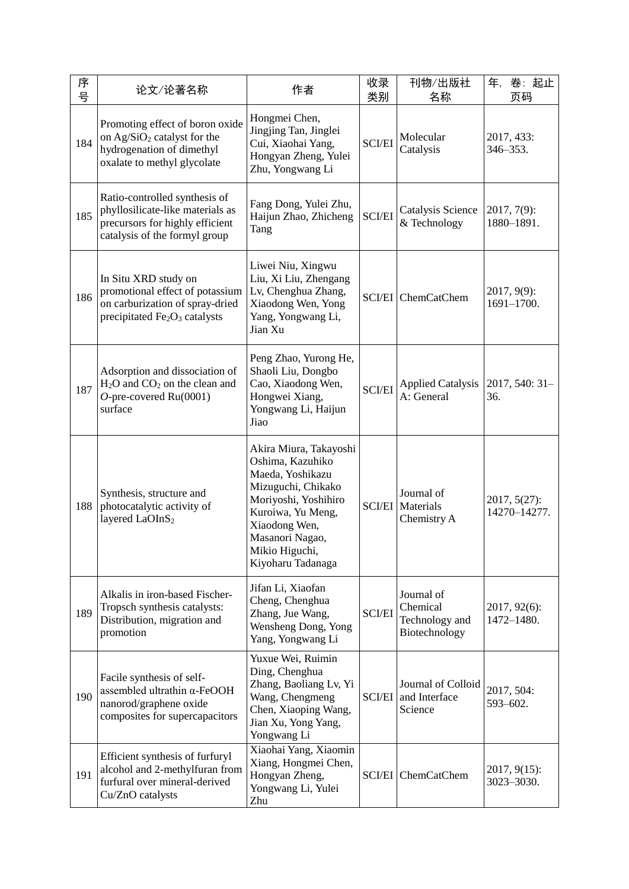| 序<br>号 | 论文/论著名称                                                                                                                                | 作者                                                                                                                                                                                                           | 收录<br>类别      | 刊物/出版社<br>名称                                              | 卷:起止<br>年,<br>页码              |
|--------|----------------------------------------------------------------------------------------------------------------------------------------|--------------------------------------------------------------------------------------------------------------------------------------------------------------------------------------------------------------|---------------|-----------------------------------------------------------|-------------------------------|
| 184    | Promoting effect of boron oxide<br>on Ag/SiO <sub>2</sub> catalyst for the<br>hydrogenation of dimethyl<br>oxalate to methyl glycolate | Hongmei Chen,<br>Jingjing Tan, Jinglei<br>Cui, Xiaohai Yang,<br>Hongyan Zheng, Yulei<br>Zhu, Yongwang Li                                                                                                     | <b>SCI/EI</b> | Molecular<br>Catalysis                                    | 2017, 433:<br>346-353.        |
| 185    | Ratio-controlled synthesis of<br>phyllosilicate-like materials as<br>precursors for highly efficient<br>catalysis of the formyl group  | Fang Dong, Yulei Zhu,<br>Haijun Zhao, Zhicheng<br>Tang                                                                                                                                                       | <b>SCI/EI</b> | Catalysis Science<br>& Technology                         | 2017, 7(9):<br>1880-1891.     |
| 186    | In Situ XRD study on<br>promotional effect of potassium<br>on carburization of spray-dried<br>precipitated $Fe2O3$ catalysts           | Liwei Niu, Xingwu<br>Liu, Xi Liu, Zhengang<br>Lv, Chenghua Zhang,<br>Xiaodong Wen, Yong<br>Yang, Yongwang Li,<br>Jian Xu                                                                                     |               | <b>SCI/EI</b> ChemCatChem                                 | $2017, 9(9)$ :<br>1691-1700.  |
| 187    | Adsorption and dissociation of<br>H <sub>2</sub> O and CO <sub>2</sub> on the clean and<br>$O$ -pre-covered Ru(0001)<br>surface        | Peng Zhao, Yurong He,<br>Shaoli Liu, Dongbo<br>Cao, Xiaodong Wen,<br>Hongwei Xiang,<br>Yongwang Li, Haijun<br>Jiao                                                                                           | <b>SCI/EI</b> | <b>Applied Catalysis</b><br>A: General                    | 2017, 540: 31-<br>36.         |
| 188    | Synthesis, structure and<br>photocatalytic activity of<br>layered LaOInS <sub>2</sub>                                                  | Akira Miura, Takayoshi<br>Oshima, Kazuhiko<br>Maeda, Yoshikazu<br>Mizuguchi, Chikako<br>Moriyoshi, Yoshihiro<br>Kuroiwa, Yu Meng,<br>Xiaodong Wen,<br>Masanori Nagao,<br>Mikio Higuchi,<br>Kiyoharu Tadanaga |               | Journal of<br><b>SCI/EI</b> Materials<br>Chemistry A      | 2017, 5(27):<br>14270-14277.  |
| 189    | Alkalis in iron-based Fischer-<br>Tropsch synthesis catalysts:<br>Distribution, migration and<br>promotion                             | Jifan Li, Xiaofan<br>Cheng, Chenghua<br>Zhang, Jue Wang,<br>Wensheng Dong, Yong<br>Yang, Yongwang Li                                                                                                         | <b>SCI/EI</b> | Journal of<br>Chemical<br>Technology and<br>Biotechnology | $2017, 92(6)$ :<br>1472-1480. |
| 190    | Facile synthesis of self-<br>assembled ultrathin $\alpha$ -FeOOH<br>nanorod/graphene oxide<br>composites for supercapacitors           | Yuxue Wei, Ruimin<br>Ding, Chenghua<br>Zhang, Baoliang Lv, Yi<br>Wang, Chengmeng<br>Chen, Xiaoping Wang,<br>Jian Xu, Yong Yang,<br>Yongwang Li                                                               | <b>SCI/EI</b> | Journal of Colloid<br>and Interface<br>Science            | 2017, 504:<br>593-602.        |
| 191    | Efficient synthesis of furfuryl<br>alcohol and 2-methylfuran from<br>furfural over mineral-derived<br>Cu/ZnO catalysts                 | Xiaohai Yang, Xiaomin<br>Xiang, Hongmei Chen,<br>Hongyan Zheng,<br>Yongwang Li, Yulei<br>Zhu                                                                                                                 |               | SCI/EI ChemCatChem                                        | $2017, 9(15)$ :<br>3023-3030. |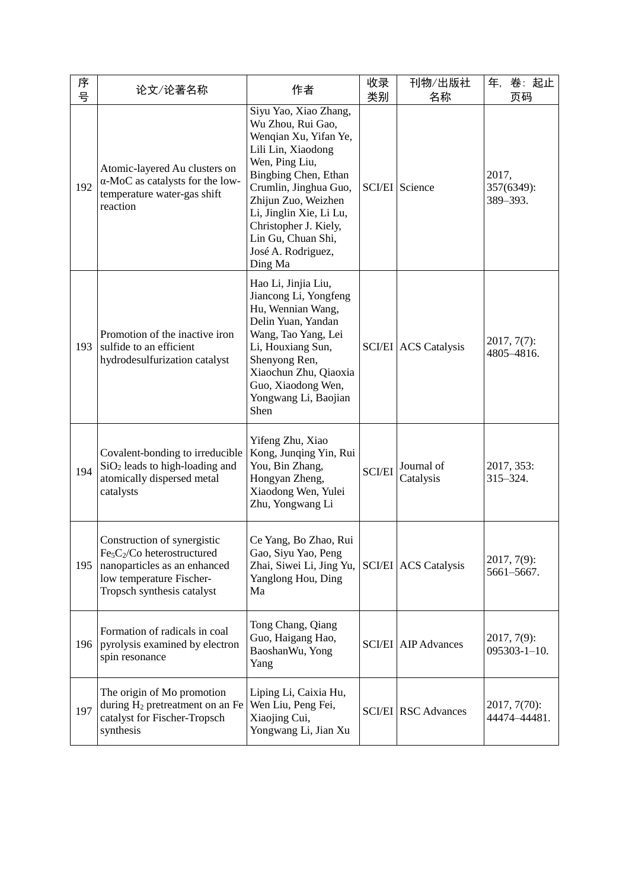| 序<br>号 | 论文/论著名称                                                                                                                                              | 作者                                                                                                                                                                                                                                                                                             | 收录<br>类别      | 刊物/出版社<br>名称                | 卷:起止<br>年,<br>页码                     |
|--------|------------------------------------------------------------------------------------------------------------------------------------------------------|------------------------------------------------------------------------------------------------------------------------------------------------------------------------------------------------------------------------------------------------------------------------------------------------|---------------|-----------------------------|--------------------------------------|
| 192    | Atomic-layered Au clusters on<br>α-MoC as catalysts for the low-<br>temperature water-gas shift<br>reaction                                          | Siyu Yao, Xiao Zhang,<br>Wu Zhou, Rui Gao,<br>Wenqian Xu, Yifan Ye,<br>Lili Lin, Xiaodong<br>Wen, Ping Liu,<br>Bingbing Chen, Ethan<br>Crumlin, Jinghua Guo,<br>Zhijun Zuo, Weizhen<br>Li, Jinglin Xie, Li Lu,<br>Christopher J. Kiely,<br>Lin Gu, Chuan Shi,<br>José A. Rodriguez,<br>Ding Ma |               | <b>SCI/EI</b> Science       | 2017,<br>357(6349):<br>389-393.      |
| 193    | Promotion of the inactive iron<br>sulfide to an efficient<br>hydrodesulfurization catalyst                                                           | Hao Li, Jinjia Liu,<br>Jiancong Li, Yongfeng<br>Hu, Wennian Wang,<br>Delin Yuan, Yandan<br>Wang, Tao Yang, Lei<br>Li, Houxiang Sun,<br>Shenyong Ren,<br>Xiaochun Zhu, Qiaoxia<br>Guo, Xiaodong Wen,<br>Yongwang Li, Baojian<br>Shen                                                            |               | <b>SCI/EI</b> ACS Catalysis | $2017, 7(7)$ :<br>4805-4816.         |
| 194    | Covalent-bonding to irreducible<br>$SiO2$ leads to high-loading and<br>atomically dispersed metal<br>catalysts                                       | Yifeng Zhu, Xiao<br>Kong, Junqing Yin, Rui<br>You, Bin Zhang,<br>Hongyan Zheng,<br>Xiaodong Wen, Yulei<br>Zhu, Yongwang Li                                                                                                                                                                     | <b>SCI/EI</b> | Journal of<br>Catalysis     | 2017, 353:<br>315-324.               |
| 195    | Construction of synergistic<br>$Fe5C2/Co heterostructured$<br>nanoparticles as an enhanced<br>low temperature Fischer-<br>Tropsch synthesis catalyst | Ce Yang, Bo Zhao, Rui<br>Gao, Siyu Yao, Peng<br>Zhai, Siwei Li, Jing Yu,<br>Yanglong Hou, Ding<br>Ma                                                                                                                                                                                           |               | <b>SCI/EI</b> ACS Catalysis | $2017, 7(9)$ :<br>5661-5667.         |
| 196    | Formation of radicals in coal<br>pyrolysis examined by electron<br>spin resonance                                                                    | Tong Chang, Qiang<br>Guo, Haigang Hao,<br>BaoshanWu, Yong<br>Yang                                                                                                                                                                                                                              |               | <b>SCI/EI</b> AIP Advances  | $2017, 7(9)$ :<br>$095303 - 1 - 10.$ |
| 197    | The origin of Mo promotion<br>during H <sub>2</sub> pretreatment on an Fe<br>catalyst for Fischer-Tropsch<br>synthesis                               | Liping Li, Caixia Hu,<br>Wen Liu, Peng Fei,<br>Xiaojing Cui,<br>Yongwang Li, Jian Xu                                                                                                                                                                                                           |               | <b>SCI/EI</b> RSC Advances  | $2017, 7(70)$ :<br>44474-44481.      |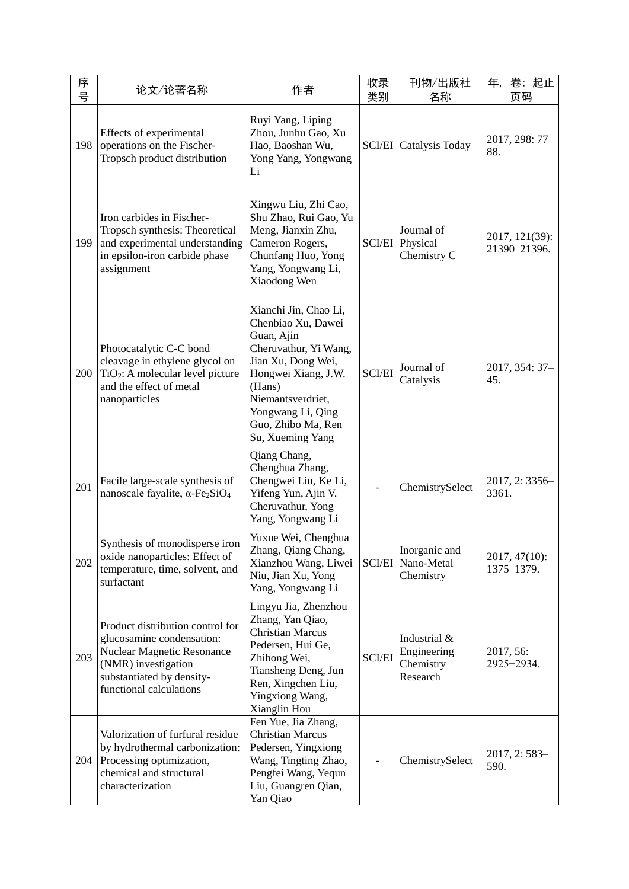| 序<br>号 | 论文/论著名称                                                                                                                                                                           | 作者                                                                                                                                                                                                                            | 收录<br>类别      | 刊物/出版社<br>名称                                         | 年,<br>卷:起止<br>页码               |
|--------|-----------------------------------------------------------------------------------------------------------------------------------------------------------------------------------|-------------------------------------------------------------------------------------------------------------------------------------------------------------------------------------------------------------------------------|---------------|------------------------------------------------------|--------------------------------|
| 198    | Effects of experimental<br>operations on the Fischer-<br>Tropsch product distribution                                                                                             | Ruyi Yang, Liping<br>Zhou, Junhu Gao, Xu<br>Hao, Baoshan Wu,<br>Yong Yang, Yongwang<br>Li                                                                                                                                     |               | <b>SCI/EI</b> Catalysis Today                        | 2017, 298: 77-<br>88.          |
| 199    | Iron carbides in Fischer-<br>Tropsch synthesis: Theoretical<br>and experimental understanding<br>in epsilon-iron carbide phase<br>assignment                                      | Xingwu Liu, Zhi Cao,<br>Shu Zhao, Rui Gao, Yu<br>Meng, Jianxin Zhu,<br>Cameron Rogers,<br>Chunfang Huo, Yong<br>Yang, Yongwang Li,<br>Xiaodong Wen                                                                            |               | Journal of<br><b>SCI/EI</b> Physical<br>Chemistry C  | 2017, 121(39):<br>21390-21396. |
| 200    | Photocatalytic C-C bond<br>cleavage in ethylene glycol on<br>TiO <sub>2</sub> : A molecular level picture<br>and the effect of metal<br>nanoparticles                             | Xianchi Jin, Chao Li,<br>Chenbiao Xu, Dawei<br>Guan, Ajin<br>Cheruvathur, Yi Wang,<br>Jian Xu, Dong Wei,<br>Hongwei Xiang, J.W.<br>(Hans)<br>Niemantsverdriet,<br>Yongwang Li, Qing<br>Guo, Zhibo Ma, Ren<br>Su, Xueming Yang | <b>SCI/EI</b> | Journal of<br>Catalysis                              | 2017, 354: 37-<br>45.          |
| 201    | Facile large-scale synthesis of<br>nanoscale fayalite, $\alpha$ -Fe <sub>2</sub> SiO <sub>4</sub>                                                                                 | Qiang Chang,<br>Chenghua Zhang,<br>Chengwei Liu, Ke Li,<br>Yifeng Yun, Ajin V.<br>Cheruvathur, Yong<br>Yang, Yongwang Li                                                                                                      |               | ChemistrySelect                                      | 2017, 2:3356-<br>3361.         |
| 202    | Synthesis of monodisperse iron<br>oxide nanoparticles: Effect of<br>temperature, time, solvent, and<br>surfactant                                                                 | Yuxue Wei, Chenghua<br>Zhang, Qiang Chang,<br>Xianzhou Wang, Liwei<br>Niu, Jian Xu, Yong<br>Yang, Yongwang Li                                                                                                                 | <b>SCI/EI</b> | Inorganic and<br>Nano-Metal<br>Chemistry             | 2017, 47(10):<br>1375-1379.    |
| 203    | Product distribution control for<br>glucosamine condensation:<br><b>Nuclear Magnetic Resonance</b><br>(NMR) investigation<br>substantiated by density-<br>functional calculations | Lingyu Jia, Zhenzhou<br>Zhang, Yan Qiao,<br><b>Christian Marcus</b><br>Pedersen, Hui Ge,<br>Zhihong Wei,<br>Tiansheng Deng, Jun<br>Ren, Xingchen Liu,<br>Yingxiong Wang,<br>Xianglin Hou                                      | <b>SCI/EI</b> | Industrial &<br>Engineering<br>Chemistry<br>Research | 2017, 56:<br>2925-2934.        |
| 204    | Valorization of furfural residue<br>by hydrothermal carbonization:<br>Processing optimization,<br>chemical and structural<br>characterization                                     | Fen Yue, Jia Zhang,<br><b>Christian Marcus</b><br>Pedersen, Yingxiong<br>Wang, Tingting Zhao,<br>Pengfei Wang, Yequn<br>Liu, Guangren Qian,<br>Yan Qiao                                                                       |               | ChemistrySelect                                      | $2017, 2:583-$<br>590.         |